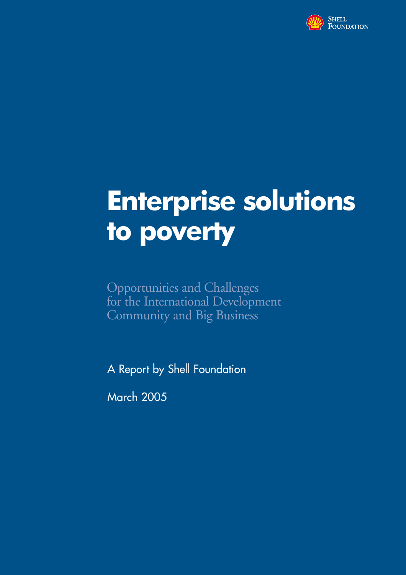

# **Enterprise solutions to poverty**

Opportunities and Challenges for the International Development Community and Big Business

A Report by Shell Foundation

March 2005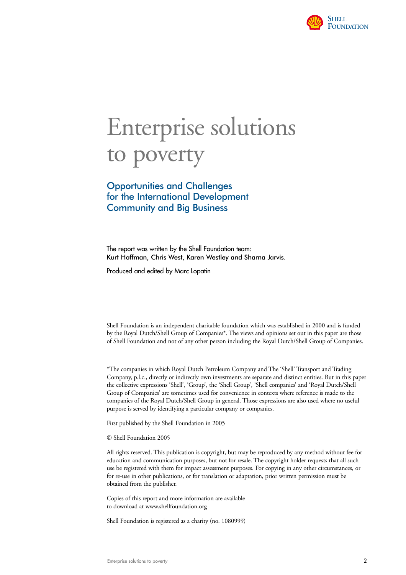

## Enterprise solutions to poverty

### Opportunities and Challenges for the International Development Community and Big Business

The report was written by the Shell Foundation team: Kurt Hoffman, Chris West, Karen Westley and Sharna Jarvis.

Produced and edited by Marc Lopatin

Shell Foundation is an independent charitable foundation which was established in 2000 and is funded by the Royal Dutch/Shell Group of Companies\*. The views and opinions set out in this paper are those of Shell Foundation and not of any other person including the Royal Dutch/Shell Group of Companies.

\*The companies in which Royal Dutch Petroleum Company and The 'Shell' Transport and Trading Company, p.l.c., directly or indirectly own investments are separate and distinct entities. But in this paper the collective expressions 'Shell', 'Group', the 'Shell Group', 'Shell companies' and 'Royal Dutch/Shell Group of Companies' are sometimes used for convenience in contexts where reference is made to the companies of the Royal Dutch/Shell Group in general. Those expressions are also used where no useful purpose is served by identifying a particular company or companies.

First published by the Shell Foundation in 2005

© Shell Foundation 2005

All rights reserved. This publication is copyright, but may be reproduced by any method without fee for education and communication purposes, but not for resale. The copyright holder requests that all such use be registered with them for impact assessment purposes. For copying in any other circumstances, or for re-use in other publications, or for translation or adaptation, prior written permission must be obtained from the publisher.

Copies of this report and more information are available to download at www.shellfoundation.org

Shell Foundation is registered as a charity (no. 1080999)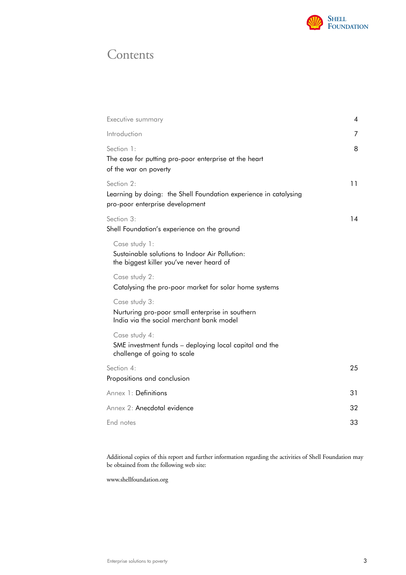

### **Contents**

| Executive summary                                                                                                 | 4  |
|-------------------------------------------------------------------------------------------------------------------|----|
| Introduction                                                                                                      | 7  |
| Section 1:<br>The case for putting pro-poor enterprise at the heart<br>of the war on poverty                      | 8  |
| Section 2:<br>Learning by doing: the Shell Foundation experience in catalysing<br>pro-poor enterprise development | 11 |
| Section 3:<br>Shell Foundation's experience on the ground                                                         | 14 |
| Case study 1:<br>Sustainable solutions to Indoor Air Pollution:<br>the biggest killer you've never heard of       |    |
| Case study 2:<br>Catalysing the pro-poor market for solar home systems                                            |    |
| Case study 3:<br>Nurturing pro-poor small enterprise in southern<br>India via the social merchant bank model      |    |
| Case study 4:<br>SME investment funds - deploying local capital and the<br>challenge of going to scale            |    |
| Section 4:<br>Propositions and conclusion                                                                         | 25 |
| Annex 1: Definitions                                                                                              | 31 |
| Annex 2: Anecdotal evidence                                                                                       | 32 |
| End notes                                                                                                         | 33 |

Additional copies of this report and further information regarding the activities of Shell Foundation may be obtained from the following web site:

www.shellfoundation.org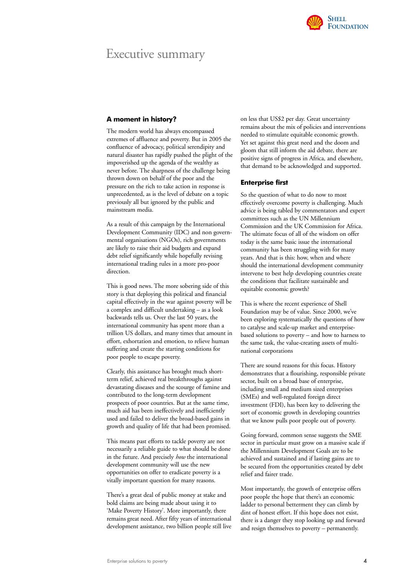

### Executive summary

#### **A moment in history?**

The modern world has always encompassed extremes of affluence and poverty. But in 2005 the confluence of advocacy, political serendipity and natural disaster has rapidly pushed the plight of the impoverished up the agenda of the wealthy as never before. The sharpness of the challenge being thrown down on behalf of the poor and the pressure on the rich to take action in response is unprecedented, as is the level of debate on a topic previously all but ignored by the public and mainstream media.

As a result of this campaign by the International Development Community (IDC) and non governmental organisations (NGOs), rich governments are likely to raise their aid budgets and expand debt relief significantly while hopefully revising international trading rules in a more pro-poor direction.

This is good news. The more sobering side of this story is that deploying this political and financial capital effectively in the war against poverty will be a complex and difficult undertaking – as a look backwards tells us. Over the last 50 years, the international community has spent more than a trillion US dollars, and many times that amount in effort, exhortation and emotion, to relieve human suffering and create the starting conditions for poor people to escape poverty.

Clearly, this assistance has brought much shortterm relief, achieved real breakthroughs against devastating diseases and the scourge of famine and contributed to the long-term development prospects of poor countries. But at the same time, much aid has been ineffectively and inefficiently used and failed to deliver the broad-based gains in growth and quality of life that had been promised.

This means past efforts to tackle poverty are not necessarily a reliable guide to what should be done in the future. And precisely *how* the international development community will use the new opportunities on offer to eradicate poverty is a vitally important question for many reasons.

There's a great deal of public money at stake and bold claims are being made about using it to 'Make Poverty History'. More importantly, there remains great need. After fifty years of international development assistance, two billion people still live on less that US\$2 per day. Great uncertainty remains about the mix of policies and interventions needed to stimulate equitable economic growth. Yet set against this great need and the doom and gloom that still inform the aid debate, there are positive signs of progress in Africa, and elsewhere, that demand to be acknowledged and supported.

#### **Enterprise first**

So the question of what to do now to most effectively overcome poverty is challenging. Much advice is being tabled by commentators and expert committees such as the UN Millennium Commission and the UK Commission for Africa. The ultimate focus of all of the wisdom on offer today is the same basic issue the international community has been struggling with for many years. And that is this: how, when and where should the international development community intervene to best help developing countries create the conditions that facilitate sustainable and equitable economic growth?

This is where the recent experience of Shell Foundation may be of value. Since 2000, we've been exploring systematically the questions of how to catalyse and scale-up market and enterprisebased solutions to poverty – and how to harness to the same task, the value-creating assets of multinational corporations

There are sound reasons for this focus. History demonstrates that a flourishing, responsible private sector, built on a broad base of enterprise, including small and medium sized enterprises (SMEs) and well-regulated foreign direct investment (FDI), has been key to delivering the sort of economic growth in developing countries that we know pulls poor people out of poverty.

Going forward, common sense suggests the SME sector in particular must grow on a massive scale if the Millennium Development Goals are to be achieved and sustained and if lasting gains are to be secured from the opportunities created by debt relief and fairer trade.

Most importantly, the growth of enterprise offers poor people the hope that there's an economic ladder to personal betterment they can climb by dint of honest effort. If this hope does not exist, there is a danger they stop looking up and forward and resign themselves to poverty – permanently.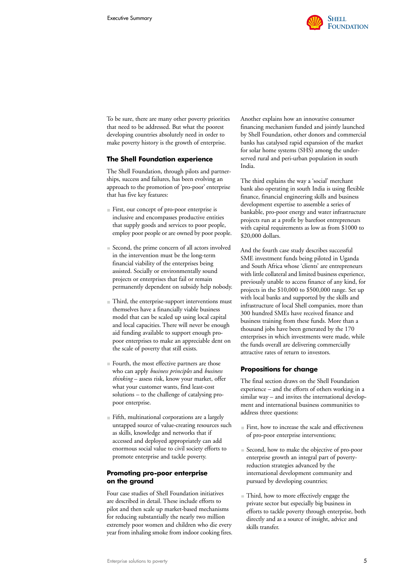

To be sure, there are many other poverty priorities that need to be addressed. But what the poorest developing countries absolutely need in order to make poverty history is the growth of enterprise.

#### **The Shell Foundation experience**

The Shell Foundation, through pilots and partnerships, success and failures, has been evolving an approach to the promotion of 'pro-poor' enterprise that has five key features:

- First, our concept of pro-poor enterprise is inclusive and encompasses productive entities that supply goods and services to poor people, employ poor people or are owned by poor people.
- Second, the prime concern of all actors involved in the intervention must be the long-term financial viability of the enterprises being assisted. Socially or environmentally sound projects or enterprises that fail or remain permanently dependent on subsidy help nobody.
- Third, the enterprise-support interventions must themselves have a financially viable business model that can be scaled up using local capital and local capacities. There will never be enough aid funding available to support enough propoor enterprises to make an appreciable dent on the scale of poverty that still exists.
- Fourth, the most effective partners are those who can apply *business principles* and *business thinking* – assess risk, know your market, offer what your customer wants, find least-cost solutions – to the challenge of catalysing propoor enterprise.
- Fifth, multinational corporations are a largely untapped source of value-creating resources such as skills, knowledge and networks that if accessed and deployed appropriately can add enormous social value to civil society efforts to promote enterprise and tackle poverty.

#### **Promoting pro-poor enterprise on the ground**

Four case studies of Shell Foundation initiatives are described in detail. These include efforts to pilot and then scale up market-based mechanisms for reducing substantially the nearly two million extremely poor women and children who die every year from inhaling smoke from indoor cooking fires. Another explains how an innovative consumer financing mechanism funded and jointly launched by Shell Foundation, other donors and commercial banks has catalysed rapid expansion of the market for solar home systems (SHS) among the underserved rural and peri-urban population in south India.

The third explains the way a 'social' merchant bank also operating in south India is using flexible finance, financial engineering skills and business development expertise to assemble a series of bankable, pro-poor energy and water infrastructure projects run at a profit by barefoot entrepreneurs with capital requirements as low as from \$1000 to \$20,000 dollars.

And the fourth case study describes successful SME investment funds being piloted in Uganda and South Africa whose 'clients' are entrepreneurs with little collateral and limited business experience, previously unable to access finance of any kind, for projects in the \$10,000 to \$500,000 range. Set up with local banks and supported by the skills and infrastructure of local Shell companies, more than 300 hundred SMEs have received finance and business training from these funds. More than a thousand jobs have been generated by the 170 enterprises in which investments were made, while the funds overall are delivering commercially attractive rates of return to investors.

#### **Propositions for change**

The final section draws on the Shell Foundation experience – and the efforts of others working in a similar way – and invites the international development and international business communities to address three questions:

- First, how to increase the scale and effectiveness of pro-poor enterprise interventions;
- Second, how to make the objective of pro-poor enterprise growth an integral part of povertyreduction strategies advanced by the international development community and pursued by developing countries;
- Third, how to more effectively engage the private sector but especially big business in efforts to tackle poverty through enterprise, both directly and as a source of insight, advice and skills transfer.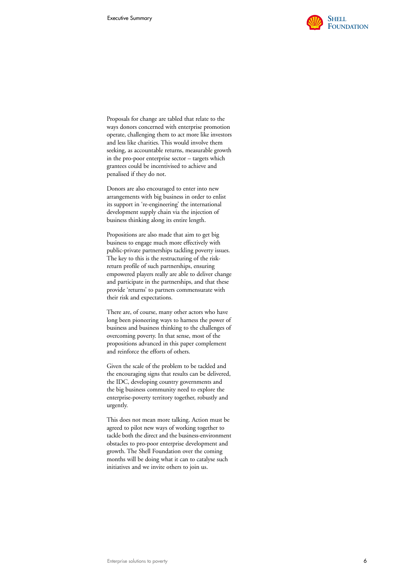

Proposals for change are tabled that relate to the ways donors concerned with enterprise promotion operate, challenging them to act more like investors and less like charities. This would involve them seeking, as accountable returns, measurable growth in the pro-poor enterprise sector – targets which grantees could be incentivised to achieve and penalised if they do not.

Donors are also encouraged to enter into new arrangements with big business in order to enlist its support in 're-engineering' the international development supply chain via the injection of business thinking along its entire length.

Propositions are also made that aim to get big business to engage much more effectively with public-private partnerships tackling poverty issues. The key to this is the restructuring of the riskreturn profile of such partnerships, ensuring empowered players really are able to deliver change and participate in the partnerships, and that these provide 'returns' to partners commensurate with their risk and expectations.

There are, of course, many other actors who have long been pioneering ways to harness the power of business and business thinking to the challenges of overcoming poverty. In that sense, most of the propositions advanced in this paper complement and reinforce the efforts of others.

Given the scale of the problem to be tackled and the encouraging signs that results can be delivered, the IDC, developing country governments and the big business community need to explore the enterprise-poverty territory together, robustly and urgently.

This does not mean more talking. Action must be agreed to pilot new ways of working together to tackle both the direct and the business-environment obstacles to pro-poor enterprise development and growth. The Shell Foundation over the coming months will be doing what it can to catalyse such initiatives and we invite others to join us.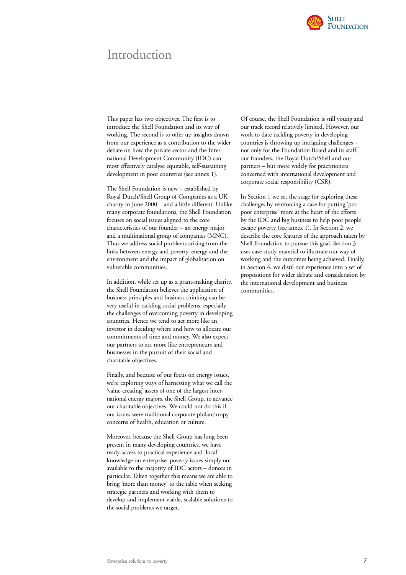

### Introduction

This paper has two objectives. The first is to introduce the Shell Foundation and its way of working. The second is to offer up insights drawn from our experience as a contribution to the wider debate on how the private sector and the International Development Community (IDC) can most effectively catalyse equitable, self-sustaining development in poor countries (see annex 1).

The Shell Foundation is new – established by Royal Dutch/Shell Group of Companies as a UK charity in June 2000 – and a little different. Unlike many corporate foundations, the Shell Foundation focuses on social issues aligned to the core characteristics of our founder – an energy major and a multinational group of companies (MNC). Thus we address social problems arising from the links between energy and poverty, energy and the environment and the impact of globalisation on vulnerable communities.

In addition, while set up as a grant-making charity, the Shell Foundation believes the application of business principles and business thinking can be very useful in tackling social problems, especially the challenges of overcoming poverty in developing countries. Hence we tend to act more like an investor in deciding where and how to allocate our commitments of time and money. We also expect our partners to act more like entrepreneurs and businesses in the pursuit of their social and charitable objectives.

Finally, and because of our focus on energy issues, we're exploring ways of harnessing what we call the 'value-creating' assets of one of the largest international energy majors, the Shell Group, to advance our charitable objectives. We could not do this if our issues were traditional corporate philanthropy concerns of health, education or culture.

Moreover, because the Shell Group has long been present in many developing countries, we have ready access to practical experience and 'local' knowledge on enterprise–poverty issues simply not available to the majority of IDC actors – donors in particular. Taken together this means we are able to bring 'more than money' to the table when seeking strategic partners and working with them to develop and implement viable, scalable solutions to the social problems we target.

Of course, the Shell Foundation is still young and our track record relatively limited. However, our work to date tackling poverty in developing countries is throwing up intriguing challenges – not only for the Foundation Board and its staff,<sup>1</sup> our founders, the Royal Dutch/Shell and our partners – but more widely for practitioners concerned with international development and corporate social responsibility (CSR).

In Section 1 we set the stage for exploring these challenges by reinforcing a case for putting 'propoor enterprise' more at the heart of the efforts by the IDC and big business to help poor people escape poverty (see annex 1). In Section 2, we describe the core features of the approach taken by Shell Foundation to pursue this goal. Section 3 uses case study material to illustrate our way of working and the outcomes being achieved. Finally, in Section 4, we distil our experience into a set of propositions for wider debate and consideration by the international development and business communities.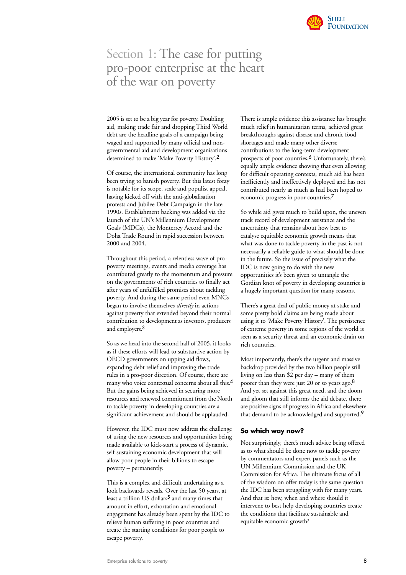

### Section 1: The case for putting pro-poor enterprise at the heart of the war on poverty

2005 is set to be a big year for poverty. Doubling aid, making trade fair and dropping Third World debt are the headline goals of a campaign being waged and supported by many official and nongovernmental aid and development organisations determined to make 'Make Poverty History'.<sup>2</sup>

Of course, the international community has long been trying to banish poverty. But this latest foray is notable for its scope, scale and populist appeal, having kicked off with the anti-globalisation protests and Jubilee Debt Campaign in the late 1990s. Establishment backing was added via the launch of the UN's Millennium Development Goals (MDGs), the Monterrey Accord and the Doha Trade Round in rapid succession between 2000 and 2004.

Throughout this period, a relentless wave of propoverty meetings, events and media coverage has contributed greatly to the momentum and pressure on the governments of rich countries to finally act after years of unfulfilled promises about tackling poverty. And during the same period even MNCs began to involve themselves *directly* in actions against poverty that extended beyond their normal contribution to development as investors, producers and employers.<sup>3</sup>

So as we head into the second half of 2005, it looks as if these efforts will lead to substantive action by OECD governments on upping aid flows, expanding debt relief and improving the trade rules in a pro-poor direction. Of course, there are many who voice contextual concerns about all this.<sup>4</sup> But the gains being achieved in securing more resources and renewed commitment from the North to tackle poverty in developing countries are a significant achievement and should be applauded.

However, the IDC must now address the challenge of using the new resources and opportunities being made available to kick-start a process of dynamic, self-sustaining economic development that will allow poor people in their billions to escape poverty – permanently.

This is a complex and difficult undertaking as a look backwards reveals. Over the last 50 years, at least a trillion US dollars<sup>5</sup> and many times that amount in effort, exhortation and emotional engagement has already been spent by the IDC to relieve human suffering in poor countries and create the starting conditions for poor people to escape poverty.

There is ample evidence this assistance has brought much relief in humanitarian terms, achieved great breakthroughs against disease and chronic food shortages and made many other diverse contributions to the long-term development prospects of poor countries.<sup>6</sup> Unfortunately, there's equally ample evidence showing that even allowing for difficult operating contexts, much aid has been inefficiently and ineffectively deployed and has not contributed nearly as much as had been hoped to economic progress in poor countries.<sup>7</sup>

So while aid gives much to build upon, the uneven track record of development assistance and the uncertainty that remains about how best to catalyse equitable economic growth means that what was done to tackle poverty in the past is not necessarily a reliable guide to what should be done in the future. So the issue of precisely what the IDC is now going to do with the new opportunities it's been given to untangle the Gordian knot of poverty in developing countries is a hugely important question for many reasons.

There's a great deal of public money at stake and some pretty bold claims are being made about using it to 'Make Poverty History'. The persistence of extreme poverty in some regions of the world is seen as a security threat and an economic drain on rich countries.

Most importantly, there's the urgent and massive backdrop provided by the two billion people still living on less than \$2 per day – many of them poorer than they were just 20 or so years ago.<sup>8</sup> And yet set against this great need, and the doom and gloom that still informs the aid debate, there are positive signs of progress in Africa and elsewhere that demand to be acknowledged and supported.<sup>9</sup>

#### **So which way now?**

Not surprisingly, there's much advice being offered as to what should be done now to tackle poverty by commentators and expert panels such as the UN Millennium Commission and the UK Commission for Africa. The ultimate focus of all of the wisdom on offer today is the same question the IDC has been struggling with for many years. And that is: how, when and where should it intervene to best help developing countries create the conditions that facilitate sustainable and equitable economic growth?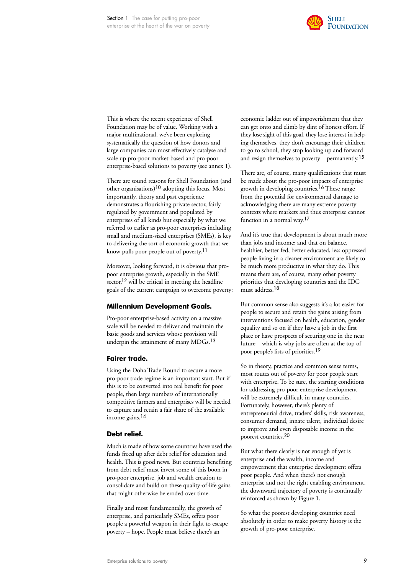

This is where the recent experience of Shell Foundation may be of value. Working with a major multinational, we've been exploring systematically the question of how donors and large companies can most effectively catalyse and scale up pro-poor market-based and pro-poor enterprise-based solutions to poverty (see annex 1).

There are sound reasons for Shell Foundation (and other organisations)<sup>10</sup> adopting this focus. Most importantly, theory and past experience demonstrates a flourishing private sector, fairly regulated by government and populated by enterprises of all kinds but especially by what we referred to earlier as pro-poor enterprises including small and medium-sized enterprises (SMEs), is key to delivering the sort of economic growth that we know pulls poor people out of poverty.<sup>11</sup>

Moreover, looking forward, it is obvious that propoor enterprise growth, especially in the SME sector,<sup>12</sup> will be critical in meeting the headline goals of the current campaign to overcome poverty:

#### **Millennium Development Goals.**

Pro-poor enterprise-based activity on a massive scale will be needed to deliver and maintain the basic goods and services whose provision will underpin the attainment of many MDGs.<sup>13</sup>

#### **Fairer trade.**

Using the Doha Trade Round to secure a more pro-poor trade regime is an important start. But if this is to be converted into real benefit for poor people, then large numbers of internationally competitive farmers and enterprises will be needed to capture and retain a fair share of the available income gains.<sup>14</sup>

#### **Debt relief.**

Much is made of how some countries have used the funds freed up after debt relief for education and health. This is good news. But countries benefiting from debt relief must invest some of this boon in pro-poor enterprise, job and wealth creation to consolidate and build on these quality-of-life gains that might otherwise be eroded over time.

Finally and most fundamentally, the growth of enterprise, and particularly SMEs, offers poor people a powerful weapon in their fight to escape poverty – hope. People must believe there's an

economic ladder out of impoverishment that they can get onto and climb by dint of honest effort. If they lose sight of this goal, they lose interest in helping themselves, they don't encourage their children to go to school, they stop looking up and forward and resign themselves to poverty – permanently.<sup>15</sup>

There are, of course, many qualifications that must be made about the pro-poor impacts of enterprise growth in developing countries.<sup>16</sup> These range from the potential for environmental damage to acknowledging there are many extreme poverty contexts where markets and thus enterprise cannot function in a normal way.<sup>17</sup>

And it's true that development is about much more than jobs and income; and that on balance, healthier, better fed, better educated, less oppressed people living in a cleaner environment are likely to be much more productive in what they do. This means there are, of course, many other poverty priorities that developing countries and the IDC must address.<sup>18</sup>

But common sense also suggests it's a lot easier for people to secure and retain the gains arising from interventions focused on health, education, gender equality and so on if they have a job in the first place or have prospects of securing one in the near future – which is why jobs are often at the top of poor people's lists of priorities.<sup>19</sup>

So in theory, practice and common sense terms, most routes out of poverty for poor people start with enterprise. To be sure, the starting conditions for addressing pro-poor enterprise development will be extremely difficult in many countries. Fortunately, however, there's plenty of entrepreneurial drive, traders' skills, risk awareness, consumer demand, innate talent, individual desire to improve and even disposable income in the poorest countries.<sup>20</sup>

But what there clearly is not enough of yet is enterprise and the wealth, income and empowerment that enterprise development offers poor people. And when there's not enough enterprise and not the right enabling environment, the downward trajectory of poverty is continually reinforced as shown by Figure 1.

So what the poorest developing countries need absolutely in order to make poverty history is the growth of pro-poor enterprise.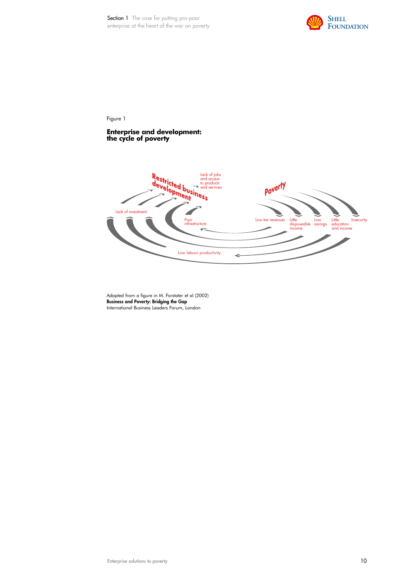

Figure 1

#### **Enterprise and development: the cycle of poverty**



Adapted from a figure in M. Forstater et al (2002) **Business and Poverty: Bridging the Gap** International Business Leaders Forum, London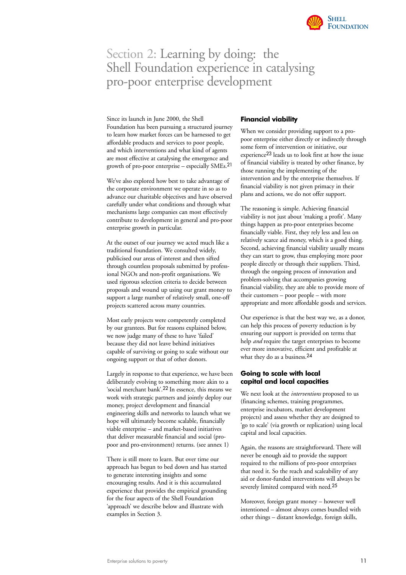

### Section 2: Learning by doing: the Shell Foundation experience in catalysing pro-poor enterprise development

Since its launch in June 2000, the Shell Foundation has been pursuing a structured journey to learn how market forces can be harnessed to get affordable products and services to poor people, and which interventions and what kind of agents are most effective at catalysing the emergence and growth of pro-poor enterprise – especially SMEs.<sup>21</sup>

We've also explored how best to take advantage of the corporate environment we operate in so as to advance our charitable objectives and have observed carefully under what conditions and through what mechanisms large companies can most effectively contribute to development in general and pro-poor enterprise growth in particular.

At the outset of our journey we acted much like a traditional foundation. We consulted widely, publicised our areas of interest and then sifted through countless proposals submitted by professional NGOs and non-profit organisations. We used rigorous selection criteria to decide between proposals and wound up using our grant money to support a large number of relatively small, one-off projects scattered across many countries.

Most early projects were competently completed by our grantees. But for reasons explained below, we now judge many of these to have 'failed' because they did not leave behind initiatives capable of surviving or going to scale without our ongoing support or that of other donors.

Largely in response to that experience, we have been deliberately evolving to something more akin to a 'social merchant bank'.<sup>22</sup> In essence, this means we work with strategic partners and jointly deploy our money, project development and financial engineering skills and networks to launch what we hope will ultimately become scalable, financially viable enterprise – and market-based initiatives that deliver measurable financial and social (propoor and pro-environment) returns. (see annex 1)

There is still more to learn. But over time our approach has begun to bed down and has started to generate interesting insights and some encouraging results. And it is this accumulated experience that provides the empirical grounding for the four aspects of the Shell Foundation 'approach' we describe below and illustrate with examples in Section 3.

#### **Financial viability**

When we consider providing support to a propoor enterprise either directly or indirectly through some form of intervention or initiative, our experience<sup>23</sup> leads us to look first at how the issue of financial viability is treated by other finance, by those running the implementing of the intervention and by the enterprise themselves. If financial viability is not given primacy in their plans and actions, we do not offer support.

The reasoning is simple. Achieving financial viability is not just about 'making a profit'. Many things happen as pro-poor enterprises become financially viable. First, they rely less and less on relatively scarce aid money, which is a good thing. Second, achieving financial viability usually means they can start to grow, thus employing more poor people directly or through their suppliers. Third, through the ongoing process of innovation and problem-solving that accompanies growing financial viability, they are able to provide more of their customers – poor people – with more appropriate and more affordable goods and services.

Our experience is that the best way we, as a donor, can help this process of poverty reduction is by ensuring our support is provided on terms that help *and* require the target enterprises to become ever more innovative, efficient and profitable at what they do as a business.<sup>24</sup>

#### **Going to scale with local capital and local capacities**

We next look at the *interventions* proposed to us (financing schemes, training programmes, enterprise incubators, market development projects) and assess whether they are designed to 'go to scale' (via growth or replication) using local capital and local capacities.

Again, the reasons are straightforward. There will never be enough aid to provide the support required to the millions of pro-poor enterprises that need it. So the reach and scaleability of any aid or donor-funded interventions will always be severely limited compared with need.<sup>25</sup>

Moreover, foreign grant money – however well intentioned – almost always comes bundled with other things – distant knowledge, foreign skills,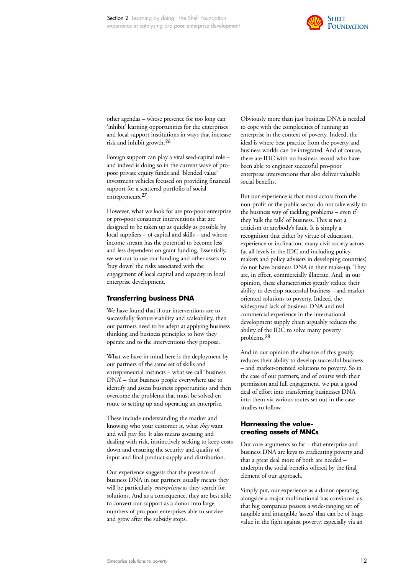

other agendas – whose presence for too long can 'inhibit' learning opportunities for the enterprises and local support institutions in ways that increase risk and inhibit growth.<sup>26</sup>

Foreign support can play a vital seed-capital role – and indeed is doing so in the current wave of propoor private equity funds and 'blended value' investment vehicles focused on providing financial support for a scattered portfolio of social entrepreneurs.<sup>27</sup>

However, what we look for are pro-poor enterprise or pro-poor consumer interventions that are designed to be taken up as quickly as possible by local suppliers – of capital and skills – and whose income stream has the potential to become less and less dependent on grant funding. Essentially, we set out to use our funding and other assets to 'buy down' the risks associated with the engagement of local capital and capacity in local enterprise development.

#### **Transferring business DNA**

We have found that if our interventions are to successfully feature viability and scaleability, then our partners need to be adept at applying business thinking and business principles to how they operate and to the interventions they propose.

What we have in mind here is the deployment by our partners of the same set of skills and entrepreneurial instincts – what we call 'business DNA' – that business people everywhere use to identify and assess business opportunities and then overcome the problems that must be solved en route to setting up and operating an enterprise.

These include understanding the market and knowing who your customer is, what *they* want and will pay for. It also means assessing and dealing with risk, instinctively seeking to keep costs down and ensuring the security and quality of input and final product supply and distribution.

Our experience suggests that the presence of business DNA in our partners usually means they will be particularly *enterprising* as they search for solutions. And as a consequence, they are best able to convert our support as a donor into large numbers of pro-poor enterprises able to survive and grow after the subsidy stops.

Obviously more than just business DNA is needed to cope with the complexities of running an enterprise in the context of poverty. Indeed, the ideal is where best practice from the poverty and business worlds can be integrated. And of course, there are IDC with no business record who have been able to engineer successful pro-poor enterprise interventions that also deliver valuable social benefits.

But our experience is that most actors from the non-profit or the public sector do not take easily to the business way of tackling problems – even if they 'talk the talk' of business. This is not a criticism or anybody's fault. It is simply a recognition that either by virtue of education, experience or inclination, many civil society actors (at all levels in the IDC and including policy makers and policy advisers in developing countries) do not have business DNA in their make-up. They are, in effect, commercially illiterate. And, in our opinion, these characteristics greatly reduce their ability to develop successful business – and marketoriented solutions to poverty. Indeed, the widespread lack of business DNA and real commercial experience in the international development supply chain arguably reduces the ability of the IDC to solve many poverty problems.<sup>28</sup>

And in our opinion the absence of this greatly reduces their ability to develop successful business – and market-oriented solutions to poverty. So in the case of our partners, and of course with their permission and full engagement, we put a good deal of effort into transferring businesses DNA into them via various routes set out in the case studies to follow.

#### **Harnessing the valuecreating assets of MNCs**

Our core arguments so far – that enterprise and business DNA are keys to eradicating poverty and that a great deal more of both are needed – underpin the social benefits offered by the final element of our approach.

Simply put, our experience as a donor operating alongside a major multinational has convinced us that big companies possess a wide-ranging set of tangible and intangible 'assets' that can be of huge value in the fight against poverty, especially via an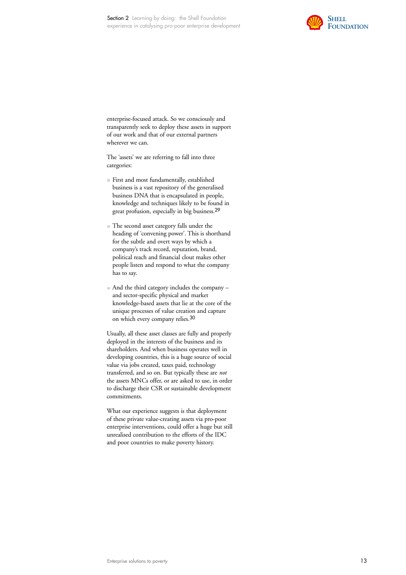

enterprise-focused attack. So we consciously and transparently seek to deploy these assets in support of our work and that of our external partners wherever we can.

The 'assets' we are referring to fall into three categories:

- First and most fundamentally, established business is a vast repository of the generalised business DNA that is encapsulated in people, knowledge and techniques likely to be found in great profusion, especially in big business.<sup>29</sup>
- The second asset category falls under the heading of 'convening power'. This is shorthand for the subtle and overt ways by which a company's track record, reputation, brand, political reach and financial clout makes other people listen and respond to what the company has to say.
- And the third category includes the company and sector-specific physical and market knowledge-based assets that lie at the core of the unique processes of value creation and capture on which every company relies.<sup>30</sup>

Usually, all these asset classes are fully and properly deployed in the interests of the business and its shareholders. And when business operates well in developing countries, this is a huge source of social value via jobs created, taxes paid, technology transferred, and so on. But typically these are *not* the assets MNCs offer, or are asked to use, in order to discharge their CSR or sustainable development commitments.

What our experience suggests is that deployment of these private value-creating assets via pro-poor enterprise interventions, could offer a huge but still unrealised contribution to the efforts of the IDC and poor countries to make poverty history.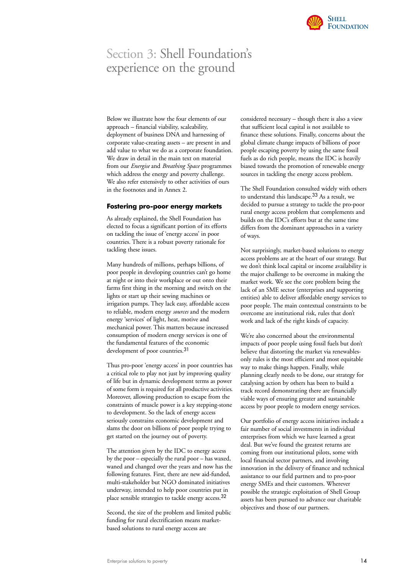### Section 3: Shell Foundation's experience on the ground

Below we illustrate how the four elements of our approach – financial viability, scaleability, deployment of business DNA and harnessing of corporate value-creating assets – are present in and add value to what we do as a corporate foundation. We draw in detail in the main text on material from our *Energise* and *Breathing Space* programmes which address the energy and poverty challenge. We also refer extensively to other activities of ours in the footnotes and in Annex 2.

#### **Fostering pro-poor energy markets**

As already explained, the Shell Foundation has elected to focus a significant portion of its efforts on tackling the issue of 'energy access' in poor countries. There is a robust poverty rationale for tackling these issues.

Many hundreds of millions, perhaps billions, of poor people in developing countries can't go home at night or into their workplace or out onto their farms first thing in the morning and switch on the lights or start up their sewing machines or irrigation pumps. They lack easy, affordable access to reliable, modern energy *sources* and the modern energy 'services' of light, heat, motive and mechanical power. This matters because increased consumption of modern energy services is one of the fundamental features of the economic development of poor countries.<sup>31</sup>

Thus pro-poor 'energy access' in poor countries has a critical role to play not just by improving quality of life but in dynamic development terms as power of some form is required for all productive activities. Moreover, allowing production to escape from the constraints of muscle power is a key stepping-stone to development. So the lack of energy access seriously constrains economic development and slams the door on billions of poor people trying to get started on the journey out of poverty.

The attention given by the IDC to energy access by the poor – especially the rural poor – has waxed, waned and changed over the years and now has the following features. First, there are new aid-funded, multi-stakeholder but NGO dominated initiatives underway, intended to help poor countries put in place sensible strategies to tackle energy access.<sup>32</sup>

Second, the size of the problem and limited public funding for rural electrification means marketbased solutions to rural energy access are

considered necessary – though there is also a view that sufficient local capital is not available to finance these solutions. Finally, concerns about the global climate change impacts of billions of poor people escaping poverty by using the same fossil fuels as do rich people, means the IDC is heavily biased towards the promotion of renewable energy sources in tackling the energy access problem.

The Shell Foundation consulted widely with others to understand this landscape.<sup>33</sup> As a result, we decided to pursue a strategy to tackle the pro-poor rural energy access problem that complements and builds on the IDC's efforts but at the same time differs from the dominant approaches in a variety of ways.

Not surprisingly, market-based solutions to energy access problems are at the heart of our strategy. But we don't think local capital or income availability is the major challenge to be overcome in making the market work. We see the core problem being the lack of an SME sector (enterprises and supporting entities) able to deliver affordable energy services to poor people. The main contextual constraints to be overcome are institutional risk, rules that don't work and lack of the right kinds of capacity.

We're also concerned about the environmental impacts of poor people using fossil fuels but don't believe that distorting the market via renewablesonly rules is the most efficient and most equitable way to make things happen. Finally, while planning clearly needs to be done, our strategy for catalysing action by others has been to build a track record demonstrating there are financially viable ways of ensuring greater and sustainable access by poor people to modern energy services.

Our portfolio of energy access initiatives include a fair number of social investments in individual enterprises from which we have learned a great deal. But we've found the greatest returns are coming from our institutional pilots, some with local financial sector partners, and involving innovation in the delivery of finance and technical assistance to our field partners and to pro-poor energy SMEs and their customers. Wherever possible the strategic exploitation of Shell Group assets has been pursued to advance our charitable objectives and those of our partners.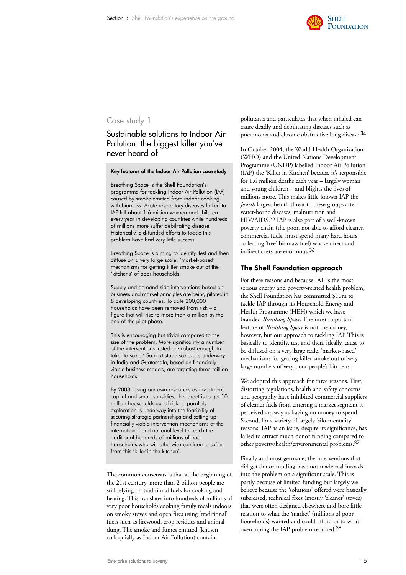

#### Case study 1

#### Sustainable solutions to Indoor Air Pollution: the biggest killer you've never heard of

#### **Key features of the Indoor Air Pollution case study**

Breathing Space is the Shell Foundation's programme for tackling Indoor Air Pollution (IAP) caused by smoke emitted from indoor cooking with biomass. Acute respiratory diseases linked to IAP kill about 1.6 million women and children every year in developing countries while hundreds of millions more suffer debilitating disease. Historically, aid-funded efforts to tackle this problem have had very little success.

Breathing Space is aiming to identify, test and then diffuse on a very large scale, 'market-based' mechanisms for getting killer smoke out of the 'kitchens' of poor households.

Supply and demand-side interventions based on business and market principles are being piloted in 8 developing countries. To date 200,000 households have been removed from risk – a figure that will rise to more than a million by the end of the pilot phase.

This is encouraging but trivial compared to the size of the problem. More significantly a number of the interventions tested are robust enough to take 'to scale.' So next stage scale-ups underway in India and Guatemala, based on financially viable business models, are targeting three million households.

By 2008, using our own resources as investment capital and smart subsidies, the target is to get 10 million households out of risk. In parallel, exploration is underway into the feasibility of securing strategic partnerships and setting up financially viable intervention mechanisms at the international and national level to reach the additional hundreds of millions of poor households who will otherwise continue to suffer from this 'killer in the kitchen'.

The common consensus is that at the beginning of the 21st century, more than 2 billion people are still relying on traditional fuels for cooking and heating. This translates into hundreds of millions of very poor households cooking family meals indoors on smoky stoves and open fires using 'traditional' fuels such as firewood, crop residues and animal dung. The smoke and fumes emitted (known colloquially as Indoor Air Pollution) contain

pollutants and particulates that when inhaled can cause deadly and debilitating diseases such as pneumonia and chronic obstructive lung disease.<sup>34</sup>

In October 2004, the World Health Organization (WHO) and the United Nations Development Programme (UNDP) labelled Indoor Air Pollution (IAP) the 'Killer in Kitchen' because it's responsible for 1.6 million deaths each year – largely woman and young children – and blights the lives of millions more. This makes little-known IAP the *fourth* largest health threat to these groups after water-borne diseases, malnutrition and HIV/AIDS.<sup>35</sup> IAP is also part of a well-known poverty chain (the poor, not able to afford cleaner, commercial fuels, must spend many hard hours collecting 'free' biomass fuel) whose direct and indirect costs are enormous.<sup>36</sup>

#### **The Shell Foundation approach**

For these reasons and because IAP is the most serious energy and poverty-related health problem, the Shell Foundation has committed \$10m to tackle IAP through its Household Energy and Health Programme (HEH) which we have branded *Breathing Space*. The most important feature of *Breathing Space* is not the money, however, but our approach to tackling IAP. This is basically to identify, test and then, ideally, cause to be diffused on a very large scale, 'market-based' mechanisms for getting killer smoke out of very large numbers of very poor people's kitchens.

We adopted this approach for three reasons. First, distorting regulations, health and safety concerns and geography have inhibited commercial suppliers of cleaner fuels from entering a market segment it perceived anyway as having no money to spend. Second, for a variety of largely 'silo-mentality' reasons, IAP as an issue, despite its significance, has failed to attract much donor funding compared to other poverty/health/environmental problems.<sup>37</sup>

Finally and most germane, the interventions that did get donor funding have not made real inroads into the problem on a significant scale. This is partly because of limited funding but largely we believe because the 'solutions' offered were basically subsidised, technical fixes (mostly 'cleaner' stoves) that were often designed elsewhere and bore little relation to what the 'market' (millions of poor households) wanted and could afford or to what overcoming the IAP problem required.<sup>38</sup>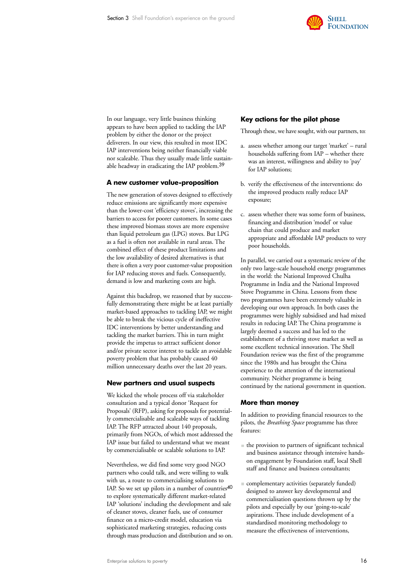

In our language, very little business thinking appears to have been applied to tackling the IAP problem by either the donor or the project deliverers. In our view, this resulted in most IDC IAP interventions being neither financially viable nor scaleable. Thus they usually made little sustainable headway in eradicating the IAP problem.<sup>39</sup>

#### **A new customer value-proposition**

The new generation of stoves designed to effectively reduce emissions are significantly more expensive than the lower-cost 'efficiency stoves', increasing the barriers to access for poorer customers. In some cases these improved biomass stoves are more expensive than liquid petroleum gas (LPG) stoves. But LPG as a fuel is often not available in rural areas. The combined effect of these product limitations and the low availability of desired alternatives is that there is often a very poor customer-value proposition for IAP reducing stoves and fuels. Consequently, demand is low and marketing costs are high.

Against this backdrop, we reasoned that by successfully demonstrating there might be at least partially market-based approaches to tackling IAP, we might be able to break the vicious cycle of ineffective IDC interventions by better understanding and tackling the market barriers. This in turn might provide the impetus to attract sufficient donor and/or private sector interest to tackle an avoidable poverty problem that has probably caused 40 million unnecessary deaths over the last 20 years.

#### **New partners and usual suspects**

We kicked the whole process off via stakeholder consultation and a typical donor 'Request for Proposals' (RFP), asking for proposals for potentially commercialisable and scaleable ways of tackling IAP. The RFP attracted about 140 proposals, primarily from NGOs, of which most addressed the IAP issue but failed to understand what we meant by commercialisable or scalable solutions to IAP.

Nevertheless, we did find some very good NGO partners who could talk, and were willing to walk with us, a route to commercialising solutions to IAP. So we set up pilots in a number of countries<sup>40</sup> to explore systematically different market-related IAP 'solutions' including the development and sale of cleaner stoves, cleaner fuels, use of consumer finance on a micro-credit model, education via sophisticated marketing strategies, reducing costs through mass production and distribution and so on.

#### **Key actions for the pilot phase**

Through these, we have sought, with our partners, to:

- a. assess whether among our target 'market' rural households suffering from IAP – whether there was an interest, willingness and ability to 'pay' for IAP solutions;
- b. verify the effectiveness of the interventions: do the improved products really reduce IAP exposure;
- c. assess whether there was some form of business, financing and distribution 'model' or value chain that could produce and market appropriate and affordable IAP products to very poor households.

In parallel, we carried out a systematic review of the only two large-scale household energy programmes in the world: the National Improved Chulha Programme in India and the National Improved Stove Programme in China. Lessons from these two programmes have been extremely valuable in developing our own approach. In both cases the programmes were highly subsidised and had mixed results in reducing IAP. The China programme is largely deemed a success and has led to the establishment of a thriving stove market as well as some excellent technical innovation. The Shell Foundation review was the first of the programme since the 1980s and has brought the China experience to the attention of the international community. Neither programme is being continued by the national government in question.

#### **More than money**

In addition to providing financial resources to the pilots, the *Breathing Space* programme has three features:

- $\blacksquare$  the provision to partners of significant technical and business assistance through intensive handson engagement by Foundation staff, local Shell staff and finance and business consultants;
- complementary activities (separately funded) designed to answer key developmental and commercialisation questions thrown up by the pilots and especially by our 'going-to-scale' aspirations. These include development of a standardised monitoring methodology to measure the effectiveness of interventions,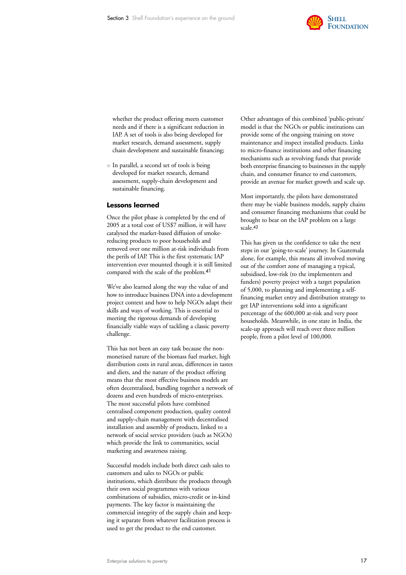

whether the product offering meets customer needs and if there is a significant reduction in IAP. A set of tools is also being developed for market research, demand assessment, supply chain development and sustainable financing;

In parallel, a second set of tools is being developed for market research, demand assessment, supply-chain development and sustainable financing.

#### **Lessons learned**

Once the pilot phase is completed by the end of 2005 at a total cost of US\$7 million, it will have catalysed the market-based diffusion of smokereducing products to poor households and removed over one million at-risk individuals from the perils of IAP. This is the first systematic IAP intervention ever mounted though it is still limited compared with the scale of the problem.<sup>41</sup>

We've also learned along the way the value of and how to introduce business DNA into a development project context and how to help NGOs adapt their skills and ways of working. This is essential to meeting the rigorous demands of developing financially viable ways of tackling a classic poverty challenge.

This has not been an easy task because the nonmonetised nature of the biomass fuel market, high distribution costs in rural areas, differences in tastes and diets, and the nature of the product offering means that the most effective business models are often decentralised, bundling together a network of dozens and even hundreds of micro-enterprises. The most successful pilots have combined centralised component production, quality control and supply-chain management with decentralised installation and assembly of products, linked to a network of social service providers (such as NGOs) which provide the link to communities, social marketing and awareness raising.

Successful models include both direct cash sales to customers and sales to NGOs or public institutions, which distribute the products through their own social programmes with various combinations of subsidies, micro-credit or in-kind payments. The key factor is maintaining the commercial integrity of the supply chain and keeping it separate from whatever facilitation process is used to get the product to the end customer.

Other advantages of this combined 'public-private' model is that the NGOs or public institutions can provide some of the ongoing training on stove maintenance and inspect installed products. Links to micro-finance institutions and other financing mechanisms such as revolving funds that provide both enterprise financing to businesses in the supply chain, and consumer finance to end customers, provide an avenue for market growth and scale up.

Most importantly, the pilots have demonstrated there may be viable business models, supply chains and consumer financing mechanisms that could be brought to bear on the IAP problem on a large scale.<sup>42</sup>

This has given us the confidence to take the next steps in our 'going-to-scale' journey. In Guatemala alone, for example, this means all involved moving out of the comfort zone of managing a typical, subsidised, low-risk (to the implementers and funders) poverty project with a target population of 5,000, to planning and implementing a selffinancing market entry and distribution strategy to get IAP interventions sold into a significant percentage of the 600,000 at-risk and very poor households. Meanwhile, in one state in India, the scale-up approach will reach over three million people, from a pilot level of 100,000.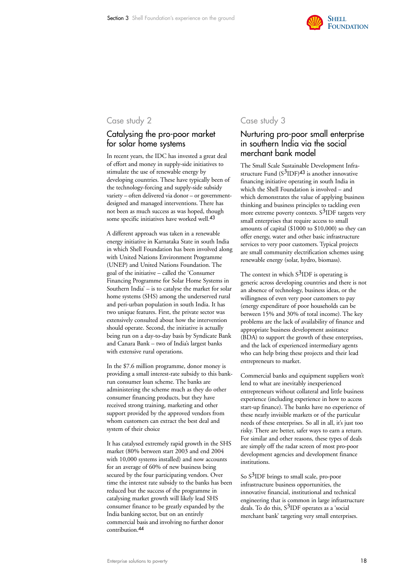

#### Case study 2

#### Catalysing the pro-poor market for solar home systems

In recent years, the IDC has invested a great deal of effort and money in supply-side initiatives to stimulate the use of renewable energy by developing countries. These have typically been of the technology-forcing and supply-side subsidy variety – often delivered via donor – or governmentdesigned and managed interventions. There has not been as much success as was hoped, though some specific initiatives have worked well.<sup>43</sup>

A different approach was taken in a renewable energy initiative in Karnataka State in south India in which Shell Foundation has been involved along with United Nations Environment Programme (UNEP) and United Nations Foundation. The goal of the initiative – called the 'Consumer Financing Programme for Solar Home Systems in Southern India' – is to catalyse the market for solar home systems (SHS) among the underserved rural and peri-urban population in south India. It has two unique features. First, the private sector was extensively consulted about how the intervention should operate. Second, the initiative is actually being run on a day-to-day basis by Syndicate Bank and Canara Bank – two of India's largest banks with extensive rural operations.

In the \$7.6 million programme, donor money is providing a small interest-rate subsidy to this bankrun consumer loan scheme. The banks are administering the scheme much as they do other consumer financing products, but they have received strong training, marketing and other support provided by the approved vendors from whom customers can extract the best deal and system of their choice

It has catalysed extremely rapid growth in the SHS market (80% between start 2003 and end 2004 with 10,000 systems installed) and now accounts for an average of 60% of new business being secured by the four participating vendors. Over time the interest rate subsidy to the banks has been reduced but the success of the programme in catalysing market growth will likely lead SHS consumer finance to be greatly expanded by the India banking sector, but on an entirely commercial basis and involving no further donor contribution.<sup>44</sup>

#### Case study 3

#### Nurturing pro-poor small enterprise in southern India via the social merchant bank model

The Small Scale Sustainable Development Infrastructure Fund  $(S^3IDF)^{43}$  is another innovative financing initiative operating in south India in which the Shell Foundation is involved – and which demonstrates the value of applying business thinking and business principles to tackling even more extreme poverty contexts.  $S^3$ IDF targets very small enterprises that require access to small amounts of capital (\$1000 to \$10,000) so they can offer energy, water and other basic infrastructure services to very poor customers. Typical projects are small community electrification schemes using renewable energy (solar, hydro, biomass).

The context in which  $S^3$ IDF is operating is generic across developing countries and there is not an absence of technology, business ideas, or the willingness of even very poor customers to pay (energy expenditure of poor households can be between 15% and 30% of total income). The key problems are the lack of availability of finance and appropriate business development assistance (BDA) to support the growth of these enterprises, and the lack of experienced intermediary agents who can help bring these projects and their lead entrepreneurs to market.

Commercial banks and equipment suppliers won't lend to what are inevitably inexperienced entrepreneurs without collateral and little business experience (including experience in how to access start-up finance). The banks have no experience of these nearly invisible markets or of the particular needs of these enterprises. So all in all, it's just too risky. There are better, safer ways to earn a return. For similar and other reasons, these types of deals are simply off the radar screen of most pro-poor development agencies and development finance institutions.

So  $S^3$ IDF brings to small scale, pro-poor infrastructure business opportunities, the innovative financial, institutional and technical engineering that is common in large infrastructure deals. To do this,  $S^3$ IDF operates as a 'social merchant bank' targeting very small enterprises.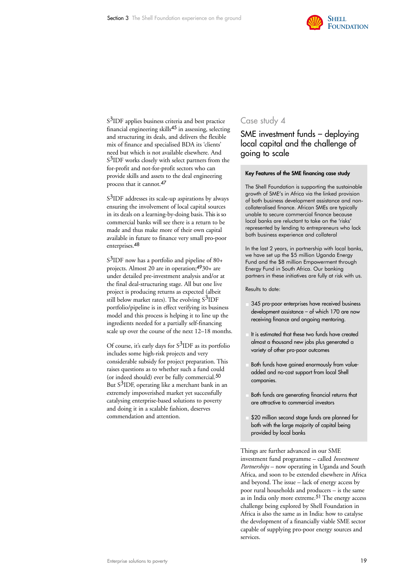

S<sup>3</sup>IDF applies business criteria and best practice financial engineering skills<sup>45</sup> in assessing, selecting and structuring its deals, and delivers the flexible mix of finance and specialised BDA its 'clients' need but which is not available elsewhere. And  $S^3$ IDF works closely with select partners from the for-profit and not-for-profit sectors who can provide skills and assets to the deal engineering process that it cannot.<sup>47</sup>

S<sup>3</sup>IDF addresses its scale-up aspirations by always ensuring the involvement of local capital sources in its deals on a learning-by-doing basis. This is so commercial banks will see there is a return to be made and thus make more of their own capital available in future to finance very small pro-poor enterprises.<sup>48</sup>

 $S<sup>3</sup>IDF$  now has a portfolio and pipeline of 80+ projects. Almost 20 are in operation;4930+ are under detailed pre-investment analysis and/or at the final deal-structuring stage. All but one live project is producing returns as expected (albeit still below market rates). The evolving  $S^3IDF$ portfolio/pipeline is in effect verifying its business model and this process is helping it to line up the ingredients needed for a partially self-financing scale up over the course of the next 12–18 months.

Of course, it's early days for  $S^3$ IDF as its portfolio includes some high-risk projects and very considerable subsidy for project preparation. This raises questions as to whether such a fund could (or indeed should) ever be fully commercial.<sup>50</sup> But  $S^3$ IDF, operating like a merchant bank in an extremely impoverished market yet successfully catalysing enterprise-based solutions to poverty and doing it in a scalable fashion, deserves commendation and attention.

#### Case study 4

#### SME investment funds – deploying local capital and the challenge of going to scale

#### **Key Features of the SME financing case study**

The Shell Foundation is supporting the sustainable growth of SME's in Africa via the linked provision of both business development assistance and noncollateralised finance. African SMEs are typically unable to secure commercial finance because local banks are reluctant to take on the 'risks' represented by lending to entrepreneurs who lack both business experience and collateral

In the last 2 years, in partnership with local banks, we have set up the \$5 million Uganda Energy Fund and the \$8 million Empowerment through Energy Fund in South Africa. Our banking partners in these initiatives are fully at risk with us.

Results to date:

- 345 pro-poor enterprises have received business development assistance – of which 170 are now receiving finance and ongoing mentoring.
- It is estimated that these two funds have created almost a thousand new jobs plus generated a variety of other pro-poor outcomes
- Both funds have gained enormously from valueadded and no-cost support from local Shell companies.
- Both funds are generating financial returns that are attractive to commercial investors
- \$20 million second stage funds are planned for both with the large majority of capital being provided by local banks

Things are further advanced in our SME investment fund programme – called *Investment Partnerships* – now operating in Uganda and South Africa, and soon to be extended elsewhere in Africa and beyond. The issue – lack of energy access by poor rural households and producers – is the same as in India only more extreme.<sup>51</sup> The energy access challenge being explored by Shell Foundation in Africa is also the same as in India: how to catalyse the development of a financially viable SME sector capable of supplying pro-poor energy sources and services.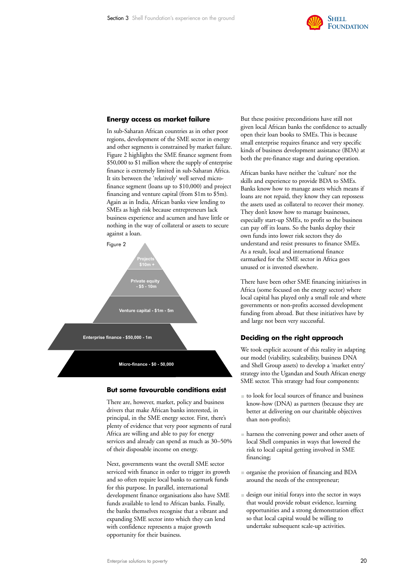

#### **Energy access as market failure**

In sub-Saharan African countries as in other poor regions, development of the SME sector in energy and other segments is constrained by market failure. Figure 2 highlights the SME finance segment from \$50,000 to \$1 million where the supply of enterprise finance is extremely limited in sub-Saharan Africa. It sits between the 'relatively' well served microfinance segment (loans up to \$10,000) and project financing and venture capital (from \$1m to \$5m). Again as in India, African banks view lending to SMEs as high risk because entrepreneurs lack business experience and acumen and have little or nothing in the way of collateral or assets to secure against a loan.



#### **But some favourable conditions exist**

There are, however, market, policy and business drivers that make African banks interested, in principal, in the SME energy sector. First, there's plenty of evidence that very poor segments of rural Africa are willing and able to pay for energy services and already can spend as much as 30–50% of their disposable income on energy.

Next, governments want the overall SME sector serviced with finance in order to trigger its growth and so often require local banks to earmark funds for this purpose. In parallel, international development finance organisations also have SME funds available to lend to African banks. Finally, the banks themselves recognise that a vibrant and expanding SME sector into which they can lend with confidence represents a major growth opportunity for their business.

But these positive preconditions have still not given local African banks the confidence to actually open their loan books to SMEs. This is because small enterprise requires finance and very specific kinds of business development assistance (BDA) at both the pre-finance stage and during operation.

African banks have neither the 'culture' nor the skills and experience to provide BDA to SMEs. Banks know how to manage assets which means if loans are not repaid, they know they can repossess the assets used as collateral to recover their money. They don't know how to manage businesses, especially start-up SMEs, to profit so the business can pay off its loans. So the banks deploy their own funds into lower risk sectors they do understand and resist pressures to finance SMEs. As a result, local and international finance earmarked for the SME sector in Africa goes unused or is invested elsewhere.

There have been other SME financing initiatives in Africa (some focused on the energy sector) where local capital has played only a small role and where governments or non-profits accessed development funding from abroad. But these initiatives have by and large not been very successful.

#### **Deciding on the right approach**

We took explicit account of this reality in adapting our model (viability, scaleability, business DNA and Shell Group assets) to develop a 'market entry' strategy into the Ugandan and South African energy SME sector. This strategy had four components:

- to look for local sources of finance and business know-how (DNA) as partners (because they are better at delivering on our charitable objectives than non-profits);
- harness the convening power and other assets of local Shell companies in ways that lowered the risk to local capital getting involved in SME financing;
- organise the provision of financing and BDA around the needs of the entrepreneur;
- design our initial forays into the sector in ways that would provide robust evidence, learning opportunities and a strong demonstration effect so that local capital would be willing to undertake subsequent scale-up activities.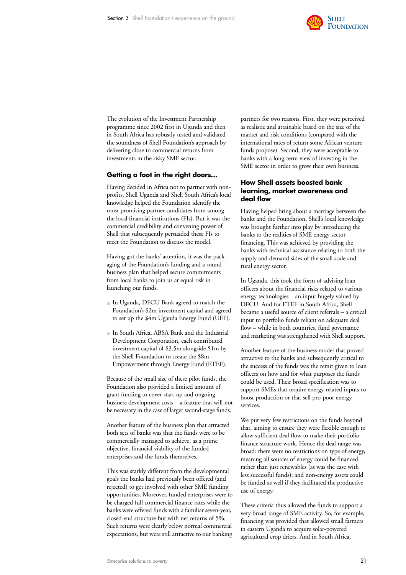

The evolution of the Investment Partnership programme since 2002 first in Uganda and then in South Africa has robustly tested and validated the soundness of Shell Foundation's approach by delivering close to commercial returns from investments in the risky SME sector.

#### **Getting a foot in the right doors…**

Having decided in Africa not to partner with nonprofits, Shell Uganda and Shell South Africa's local knowledge helped the Foundation identify the most promising partner candidates from among the local financial institutions (FIs). But it was the commercial credibility and convening power of Shell that subsequently persuaded these FIs to meet the Foundation to discuss the model.

Having got the banks' attention, it was the packaging of the Foundation's funding and a sound business plan that helped secure commitments from local banks to join us at equal risk in launching our funds.

- In Uganda, DFCU Bank agreed to match the Foundation's \$2m investment capital and agreed to set up the \$4m Uganda Energy Fund (UEF).
- In South Africa, ABSA Bank and the Industrial Development Corporation, each contributed investment capital of \$3.5m alongside \$1m by the Shell Foundation to create the \$8m Empowerment through Energy Fund (ETEF).

Because of the small size of these pilot funds, the Foundation also provided a limited amount of grant funding to cover start-up and ongoing business development costs – a feature that will not be necessary in the case of larger second-stage funds.

Another feature of the business plan that attracted both sets of banks was that the funds were to be commercially managed to achieve, as a prime objective, financial viability of the funded enterprises and the funds themselves.

This was starkly different from the developmental goals the banks had previously been offered (and rejected) to get involved with other SME funding opportunities. Moreover, funded enterprises were to be charged full commercial finance rates while the banks were offered funds with a familiar seven-year, closed-end structure but with net returns of 5%. Such returns were clearly below normal commercial expectations, but were still attractive to our banking partners for two reasons. First, they were perceived as realistic and attainable based on the size of the market and risk conditions (compared with the international rates of return some African venture funds propose). Second, they were acceptable to banks with a long-term view of investing in the SME sector in order to grow their own business.

#### **How Shell assets boosted bank learning, market awareness and deal flow**

Having helped bring about a marriage between the banks and the Foundation, Shell's local knowledge was brought further into play by introducing the banks to the realities of SME energy sector financing. This was achieved by providing the banks with technical assistance relating to both the supply and demand sides of the small scale and rural energy sector.

In Uganda, this took the form of advising loan officers about the financial risks related to various energy technologies – an input hugely valued by DFCU. And for ETEF in South Africa, Shell became a useful source of client referrals – a critical input to portfolio funds reliant on adequate deal flow – while in both countries, fund governance and marketing was strengthened with Shell support.

Another feature of the business model that proved attractive to the banks and subsequently critical to the success of the funds was the remit given to loan officers on how and for what purposes the funds could be used. Their broad specification was to support SMEs that require energy-related inputs to boost production or that sell pro-poor energy services.

We put very few restrictions on the funds beyond that, aiming to ensure they were flexible enough to allow sufficient deal flow to make their portfolio finance structure work. Hence the deal range was broad: there were no restrictions on type of energy, meaning all sources of energy could be financed rather than just renewables (as was the case with less successful funds); and non-energy assets could be funded as well if they facilitated the productive use of energy.

These criteria thus allowed the funds to support a very broad range of SME activity. So, for example, financing was provided that allowed small farmers in eastern Uganda to acquire solar-powered agricultural crop driers. And in South Africa,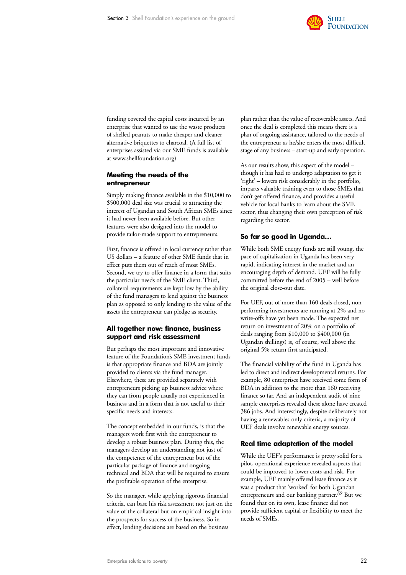

funding covered the capital costs incurred by an enterprise that wanted to use the waste products of shelled peanuts to make cheaper and cleaner alternative briquettes to charcoal. (A full list of enterprises assisted via our SME funds is available at www.shellfoundation.org)

#### **Meeting the needs of the entrepreneur**

Simply making finance available in the \$10,000 to \$500,000 deal size was crucial to attracting the interest of Ugandan and South African SMEs since it had never been available before. But other features were also designed into the model to provide tailor-made support to entrepreneurs.

First, finance is offered in local currency rather than US dollars – a feature of other SME funds that in effect puts them out of reach of most SMEs. Second, we try to offer finance in a form that suits the particular needs of the SME client. Third, collateral requirements are kept low by the ability of the fund managers to lend against the business plan as opposed to only lending to the value of the assets the entrepreneur can pledge as security.

#### **All together now: finance, business support and risk assessment**

But perhaps the most important and innovative feature of the Foundation's SME investment funds is that appropriate finance and BDA are jointly provided to clients via the fund manager. Elsewhere, these are provided separately with entrepreneurs picking up business advice where they can from people usually not experienced in business and in a form that is not useful to their specific needs and interests.

The concept embedded in our funds, is that the managers work first with the entrepreneur to develop a robust business plan. During this, the managers develop an understanding not just of the competence of the entrepreneur but of the particular package of finance and ongoing technical and BDA that will be required to ensure the profitable operation of the enterprise.

So the manager, while applying rigorous financial criteria, can base his risk assessment not just on the value of the collateral but on empirical insight into the prospects for success of the business. So in effect, lending decisions are based on the business

plan rather than the value of recoverable assets. And once the deal is completed this means there is a plan of ongoing assistance, tailored to the needs of the entrepreneur as he/she enters the most difficult stage of any business – start-up and early operation.

As our results show, this aspect of the model – though it has had to undergo adaptation to get it 'right' – lowers risk considerably in the portfolio, imparts valuable training even to those SMEs that don't get offered finance, and provides a useful vehicle for local banks to learn about the SME sector, thus changing their own perception of risk regarding the sector.

#### **So far so good in Uganda…**

While both SME energy funds are still young, the pace of capitalisation in Uganda has been very rapid, indicating interest in the market and an encouraging depth of demand. UEF will be fully committed before the end of 2005 – well before the original close-out date.

For UEF, out of more than 160 deals closed, nonperforming investments are running at 2% and no write-offs have yet been made. The expected net return on investment of 20% on a portfolio of deals ranging from \$10,000 to \$400,000 (in Ugandan shillings) is, of course, well above the original 5% return first anticipated.

The financial viability of the fund in Uganda has led to direct and indirect developmental returns. For example, 80 enterprises have received some form of BDA in addition to the more than 160 receiving finance so far. And an independent audit of nine sample enterprises revealed these alone have created 386 jobs. And interestingly, despite deliberately not having a renewables-only criteria, a majority of UEF deals involve renewable energy sources.

#### **Real time adaptation of the model**

While the UEF's performance is pretty solid for a pilot, operational experience revealed aspects that could be improved to lower costs and risk. For example, UEF mainly offered lease finance as it was a product that 'worked' for both Ugandan entrepreneurs and our banking partner.<sup>52</sup> But we found that on its own, lease finance did not provide sufficient capital or flexibility to meet the needs of SMEs.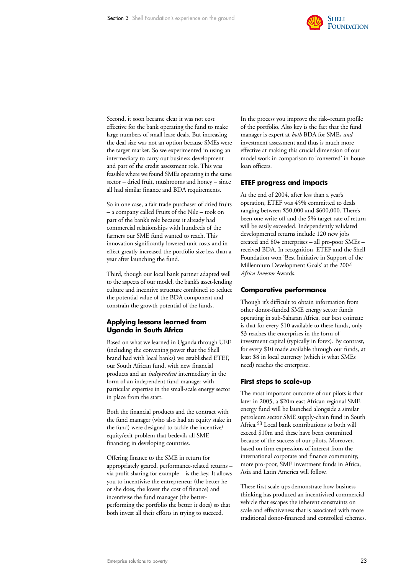

Second, it soon became clear it was not cost effective for the bank operating the fund to make large numbers of small lease deals. But increasing the deal size was not an option because SMEs were the target market. So we experimented in using an intermediary to carry out business development and part of the credit assessment role. This was feasible where we found SMEs operating in the same sector – dried fruit, mushrooms and honey – since all had similar finance and BDA requirements.

So in one case, a fair trade purchaser of dried fruits – a company called Fruits of the Nile – took on part of the bank's role because it already had commercial relationships with hundreds of the farmers our SME fund wanted to reach. This innovation significantly lowered unit costs and in effect greatly increased the portfolio size less than a year after launching the fund.

Third, though our local bank partner adapted well to the aspects of our model, the bank's asset-lending culture and incentive structure combined to reduce the potential value of the BDA component and constrain the growth potential of the funds.

#### **Applying lessons learned from Uganda in South Africa**

Based on what we learned in Uganda through UEF (including the convening power that the Shell brand had with local banks) we established ETEF, our South African fund, with new financial products and an *independent* intermediary in the form of an independent fund manager with particular expertise in the small-scale energy sector in place from the start.

Both the financial products and the contract with the fund manager (who also had an equity stake in the fund) were designed to tackle the incentive/ equity/exit problem that bedevils all SME financing in developing countries.

Offering finance to the SME in return for appropriately geared, performance-related returns – via profit sharing for example – is the key. It allows you to incentivise the entrepreneur (the better he or she does, the lower the cost of finance) and incentivise the fund manager (the betterperforming the portfolio the better it does) so that both invest all their efforts in trying to succeed.

In the process you improve the risk–return profile of the portfolio. Also key is the fact that the fund manager is expert at *both* BDA for SMEs *and* investment assessment and thus is much more effective at making this crucial dimension of our model work in comparison to 'converted' in-house loan officers.

#### **ETEF progress and impacts**

At the end of 2004, after less than a year's operation, ETEF was 45% committed to deals ranging between \$50,000 and \$600,000. There's been one write-off and the 5% target rate of return will be easily exceeded. Independently validated developmental returns include 120 new jobs created and 80+ enterprises – all pro-poor SMEs – received BDA. In recognition, ETEF and the Shell Foundation won 'Best Initiative in Support of the Millennium Development Goals' at the 2004 *Africa Investor* Awards.

#### **Comparative performance**

Though it's difficult to obtain information from other donor-funded SME energy sector funds operating in sub-Saharan Africa, our best estimate is that for every \$10 available to these funds, only \$3 reaches the enterprises in the form of investment capital (typically in forex). By contrast, for every \$10 made available through our funds, at least \$8 in local currency (which is what SMEs need) reaches the enterprise.

#### **First steps to scale-up**

The most important outcome of our pilots is that later in 2005, a \$20m east African regional SME energy fund will be launched alongside a similar petroleum sector SME supply-chain fund in South Africa.<sup>53</sup> Local bank contributions to both will exceed \$10m and these have been committed because of the success of our pilots. Moreover, based on firm expressions of interest from the international corporate and finance community, more pro-poor, SME investment funds in Africa, Asia and Latin America will follow.

These first scale-ups demonstrate how business thinking has produced an incentivised commercial vehicle that escapes the inherent constraints on scale and effectiveness that is associated with more traditional donor-financed and controlled schemes.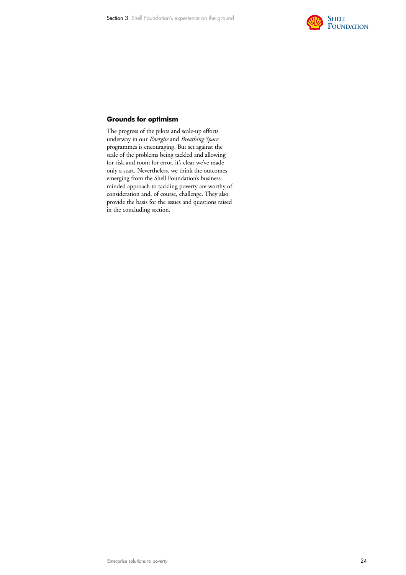

#### **Grounds for optimism**

The progress of the pilots and scale-up efforts underway in our *Energise* and *Breathing Space* programmes is encouraging. But set against the scale of the problems being tackled and allowing for risk and room for error, it's clear we've made only a start. Nevertheless, we think the outcomes emerging from the Shell Foundation's businessminded approach to tackling poverty are worthy of consideration and, of course, challenge. They also provide the basis for the issues and questions raised in the concluding section.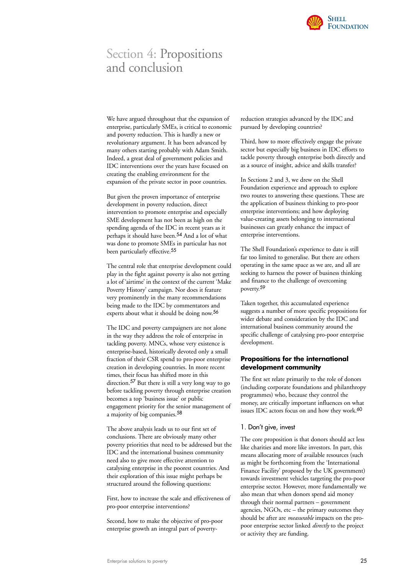

### Section 4: Propositions and conclusion

We have argued throughout that the expansion of enterprise, particularly SMEs, is critical to economic and poverty reduction. This is hardly a new or revolutionary argument. It has been advanced by many others starting probably with Adam Smith. Indeed, a great deal of government policies and IDC interventions over the years have focused on creating the enabling environment for the expansion of the private sector in poor countries.

But given the proven importance of enterprise development in poverty reduction, direct intervention to promote enterprise and especially SME development has not been as high on the spending agenda of the IDC in recent years as it perhaps it should have been.<sup>54</sup> And a lot of what was done to promote SMEs in particular has not been particularly effective.<sup>55</sup>

The central role that enterprise development could play in the fight against poverty is also not getting a lot of 'airtime' in the context of the current 'Make Poverty History' campaign. Nor does it feature very prominently in the many recommendations being made to the IDC by commentators and experts about what it should be doing now.<sup>56</sup>

The IDC and poverty campaigners are not alone in the way they address the role of enterprise in tackling poverty. MNCs, whose very existence is enterprise-based, historically devoted only a small fraction of their CSR spend to pro-poor enterprise creation in developing countries. In more recent times, their focus has shifted more in this direction.<sup>57</sup> But there is still a very long way to go before tackling poverty through enterprise creation becomes a top 'business issue' or public engagement priority for the senior management of a majority of big companies.<sup>58</sup>

The above analysis leads us to our first set of conclusions. There are obviously many other poverty priorities that need to be addressed but the IDC and the international business community need also to give more effective attention to catalysing enterprise in the poorest countries. And their exploration of this issue might perhaps be structured around the following questions:

First, how to increase the scale and effectiveness of pro-poor enterprise interventions?

Second, how to make the objective of pro-poor enterprise growth an integral part of povertyreduction strategies advanced by the IDC and pursued by developing countries?

Third, how to more effectively engage the private sector but especially big business in IDC efforts to tackle poverty through enterprise both directly and as a source of insight, advice and skills transfer?

In Sections 2 and 3, we drew on the Shell Foundation experience and approach to explore two routes to answering these questions. These are the application of business thinking to pro-poor enterprise interventions; and how deploying value-creating assets belonging to international businesses can greatly enhance the impact of enterprise interventions.

The Shell Foundation's experience to date is still far too limited to generalise. But there are others operating in the same space as we are, and all are seeking to harness the power of business thinking and finance to the challenge of overcoming poverty.<sup>59</sup>

Taken together, this accumulated experience suggests a number of more specific propositions for wider debate and consideration by the IDC and international business community around the specific challenge of catalysing pro-poor enterprise development.

#### **Propositions for the international development community**

The first set relate primarily to the role of donors (including corporate foundations and philanthropy programmes) who, because they control the money, are critically important influences on what issues IDC actors focus on and how they work.<sup>60</sup>

#### 1. Don't give, invest

The core proposition is that donors should act less like charities and more like investors. In part, this means allocating more of available resources (such as might be forthcoming from the 'International Finance Facility' proposed by the UK government) towards investment vehicles targeting the pro-poor enterprise sector. However, more fundamentally we also mean that when donors spend aid money through their normal partners – government agencies, NGOs, etc – the primary outcomes they should be after are *measurable* impacts on the propoor enterprise sector linked *directly* to the project or activity they are funding.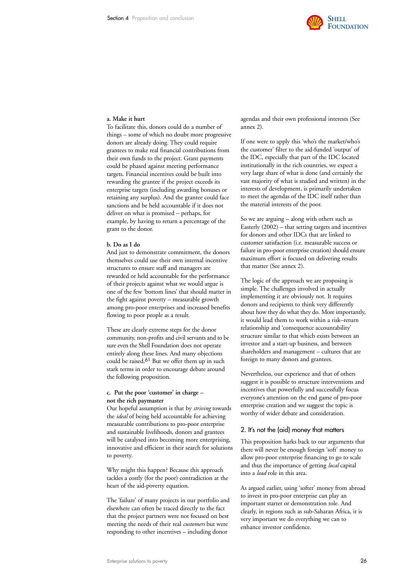

#### **a. Make it hurt**

To facilitate this, donors could do a number of things – some of which no doubt more progressive donors are already doing. They could require grantees to make real financial contributions from their own funds to the project. Grant payments could be phased against meeting performance targets. Financial incentives could be built into rewarding the grantee if the project exceeds its enterprise targets (including awarding bonuses or retaining any surplus). And the grantee could face sanctions and be held accountable if it does not deliver on what is promised – perhaps, for example, by having to return a percentage of the grant to the donor.

#### **b. Do as I do**

And just to demonstrate commitment, the donors themselves could use their own internal incentive structures to ensure staff and managers are rewarded or held accountable for the performance of their projects against what we would argue is one of the few 'bottom lines' that should matter in the fight against poverty – measurable growth among pro-poor enterprises and increased benefits flowing to poor people as a result.

These are clearly extreme steps for the donor community, non-profits and civil servants and to be sure even the Shell Foundation does not operate entirely along these lines. And many objections could be raised.<sup>61</sup> But we offer them up in such stark terms in order to encourage debate around the following proposition.

#### **c. Put the poor 'customer' in charge – not the rich paymaster**

Our hopeful assumption is that by *striving* towards the *ideal* of being held accountable for achieving measurable contributions to pro-poor enterprise and sustainable livelihoods, donors and grantees will be catalysed into becoming more enterprising, innovative and efficient in their search for solutions to poverty.

Why might this happen? Because this approach tackles a costly (for the poor) contradiction at the heart of the aid-poverty equation.

The 'failure' of many projects in our portfolio and elsewhere can often be traced directly to the fact that the project partners were not focused on best meeting the needs of their real *customers* but were responding to other incentives – including donor

agendas and their own professional interests (See annex 2).

If one were to apply this 'who's the market/who's the customer' filter to the aid-funded 'output' of the IDC, especially that part of the IDC located institutionally in the rich countries, we expect a very large share of what is done (and certainly the vast majority of what is studied and written) in the interests of development, is primarily undertaken to meet the agendas of the IDC itself rather than the material interests of the poor.

So we are arguing – along with others such as Easterly (2002) – that setting targets and incentives for donors and other IDCs that are linked to customer satisfaction (i.e. measurable success or failure in pro-poor enterprise creation) should ensure maximum effort is focused on delivering results that matter (See annex 2).

The logic of the approach we are proposing is simple. The challenges involved in actually implementing it are obviously not. It requires donors and recipients to think very differently about how they do what they do. More importantly, it would lead them to work within a risk–return relationship and 'consequence accountability' structure similar to that which exists between an investor and a start-up business, and between shareholders and management – cultures that are foreign to many donors and grantees.

Nevertheless, our experience and that of others suggest it is possible to structure interventions and incentives that powerfully and successfully focus everyone's attention on the end game of pro-poor enterprise creation and we suggest the topic is worthy of wider debate and consideration.

#### 2. It's not the (aid) money that matters

This proposition harks back to our arguments that there will never be enough foreign 'soft' money to allow pro-poor enterprise financing to go to scale and thus the importance of getting *local* capital into a *lead* role in this area.

As argued earlier, using 'softer' money from abroad to invest in pro-poor enterprise can play an important starter or demonstration role. And clearly, in regions such as sub-Saharan Africa, it is very important we do everything we can to enhance investor confidence.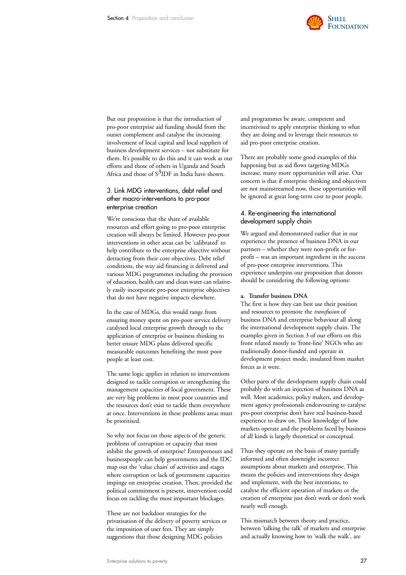

But our proposition is that the introduction of pro-poor enterprise aid funding should from the outset complement and catalyse the increasing involvement of local capital and local suppliers of business development services – not substitute for them. It's possible to do this and it can work as our efforts and those of others in Uganda and South Africa and those of  $S^3$ IDF in India have shown.

#### 3. Link MDG interventions, debt relief and other macro-interventions to pro-poor enterprise creation

We're conscious that the share of available resources and effort going to pro-poor enterprise creation will always be limited. However pro-poor interventions in other areas can be 'calibrated' to help contribute to the enterprise objective without detracting from their core objectives. Debt relief conditions, the way aid financing is delivered and various MDG programmes including the provision of education, health care and clean water can relatively easily incorporate pro-poor enterprise objectives that do not have negative impacts elsewhere.

In the case of MDGs, this would range from ensuring money spent on pro-poor service delivery catalysed local enterprise growth through to the application of enterprise or business thinking to better ensure MDG plans delivered specific measurable outcomes benefiting the most poor people at least cost.

The same logic applies in relation to interventions designed to tackle corruption or strengthening the management capacities of local government. These are very big problems in most poor countries and the resources don't exist to tackle them everywhere at once. Interventions in these problems areas must be prioritised.

So why not focus on those aspects of the generic problems of corruption or capacity that most inhibit the growth of enterprise? Entrepreneurs and businesspeople can help governments and the IDC map out the 'value chain' of activities and stages where corruption or lack of government capacities impinge on enterprise creation. Then, provided the political commitment is present, intervention could focus on tackling the most important blockages.

These are not backdoor strategies for the privatisation of the delivery of poverty services or the imposition of user fees. They are simply suggestions that those designing MDG policies

and programmes be aware, competent and incentivised to apply enterprise thinking to what they are doing and to leverage their resources to aid pro-poor enterprise creation.

There are probably some good examples of this happening but as aid flows targeting MDGs increase, many more opportunities will arise. Our concern is that if enterprise thinking and objectives are not mainstreamed now, these opportunities will be ignored at great long-term cost to poor people.

#### 4. Re-engineering the international development supply chain

We argued and demonstrated earlier that in our experience the presence of business DNA in our partners – whether they were non-profit or forprofit – was an important ingredient in the success of pro-poor enterprise interventions. This experience underpins our proposition that donors should be considering the following options:

#### **a. Transfer business DNA**

The first is how they can best use their position and resources to promote the *transfusion* of business DNA and enterprise behaviour all along the international development supply chain. The examples given in Section 3 of our efforts on this front related mostly to 'front-line' NGOs who are traditionally donor-funded and operate in development project mode, insulated from market forces as it were.

Other parts of the development supply chain could probably do with an injection of business DNA as well. Most academics, policy makers, and development agency professionals endeavouring to catalyse pro-poor enterprise don't have real business-based experience to draw on. Their knowledge of how markets operate and the problems faced by business of all kinds is largely theoretical or conceptual.

Thus they operate on the basis of many partially informed and often downright incorrect assumptions about markets and enterprise. This means the policies and interventions they design and implement, with the best intentions, to catalyse the efficient operation of markets or the creation of enterprise just don't work or don't work nearly well enough.

This mismatch between theory and practice, between 'talking the talk' of markets and enterprise and actually knowing how to 'walk the walk', are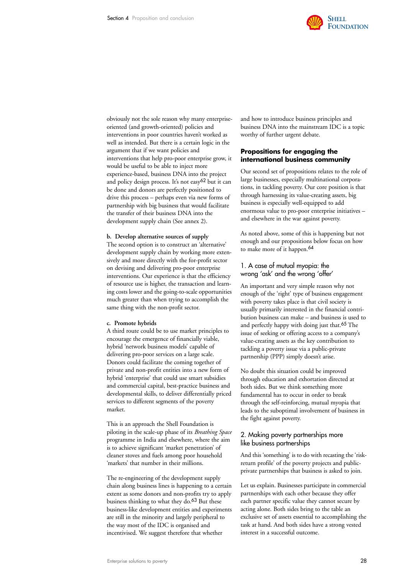

obviously not the sole reason why many enterpriseoriented (and growth-oriented) policies and interventions in poor countries haven't worked as well as intended. But there is a certain logic in the argument that if we want policies and interventions that help pro-poor enterprise grow, it would be useful to be able to inject more experience-based, business DNA into the project and policy design process. It's not easy<sup>62</sup> but it can be done and donors are perfectly positioned to drive this process – perhaps even via new forms of partnership with big business that would facilitate the transfer of their business DNA into the development supply chain (See annex 2).

#### **b. Develop alternative sources of supply**

The second option is to construct an 'alternative' development supply chain by working more extensively and more directly with the for-profit sector on devising and delivering pro-poor enterprise interventions. Our experience is that the efficiency of resource use is higher, the transaction and learning costs lower and the going-to-scale opportunities much greater than when trying to accomplish the same thing with the non-profit sector.

#### **c. Promote hybrids**

A third route could be to use market principles to encourage the emergence of financially viable, hybrid 'network business models' capable of delivering pro-poor services on a large scale. Donors could facilitate the coming together of private and non-profit entities into a new form of hybrid 'enterprise' that could use smart subsidies and commercial capital, best-practice business and developmental skills, to deliver differentially priced services to different segments of the poverty market.

This is an approach the Shell Foundation is piloting in the scale-up phase of its *Breathing Space* programme in India and elsewhere, where the aim is to achieve significant 'market penetration' of cleaner stoves and fuels among poor household 'markets' that number in their millions.

The re-engineering of the development supply chain along business lines is happening to a certain extent as some donors and non-profits try to apply business thinking to what they do.<sup>63</sup> But these business-like development entities and experiments are still in the minority and largely peripheral to the way most of the IDC is organised and incentivised. We suggest therefore that whether

and how to introduce business principles and business DNA into the mainstream IDC is a topic worthy of further urgent debate.

#### **Propositions for engaging the international business community**

Our second set of propositions relates to the role of large businesses, especially multinational corporations, in tackling poverty. Our core position is that through harnessing its value-creating assets, big business is especially well-equipped to add enormous value to pro-poor enterprise initiatives – and elsewhere in the war against poverty.

As noted above, some of this is happening but not enough and our propositions below focus on how to make more of it happen.<sup>64</sup>

#### 1. A case of mutual myopia: the wrong 'ask' and the wrong 'offer'

An important and very simple reason why not enough of the 'right' type of business engagement with poverty takes place is that civil society is usually primarily interested in the financial contribution business can make – and business is used to and perfectly happy with doing just that.<sup>65</sup> The issue of seeking or offering access to a company's value-creating assets as the key contribution to tackling a poverty issue via a public-private partnership (PPP) simply doesn't arise.

No doubt this situation could be improved through education and exhortation directed at both sides. But we think something more fundamental has to occur in order to break through the self-reinforcing, mutual myopia that leads to the suboptimal involvement of business in the fight against poverty.

#### 2. Making poverty partnerships more like business partnerships

And this 'something' is to do with recasting the 'riskreturn profile' of the poverty projects and publicprivate partnerships that business is asked to join.

Let us explain. Businesses participate in commercial partnerships with each other because they offer each partner specific value they cannot secure by acting alone. Both sides bring to the table an exclusive set of assets essential to accomplishing the task at hand. And both sides have a strong vested interest in a successful outcome.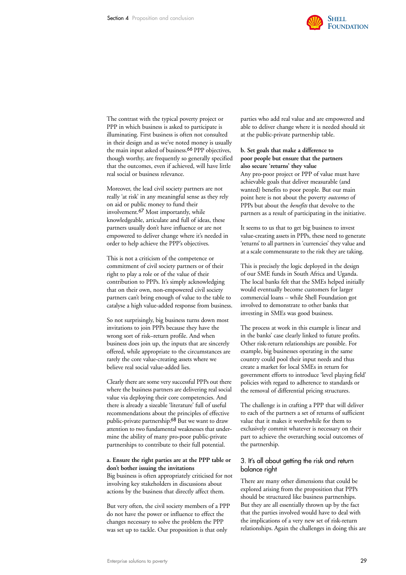

The contrast with the typical poverty project or PPP in which business is asked to participate is illuminating. First business is often not consulted in their design and as we've noted money is usually the main input asked of business.<sup>66</sup> PPP objectives, though worthy, are frequently so generally specified that the outcomes, even if achieved, will have little real social or business relevance.

Moreover, the lead civil society partners are not really 'at risk' in any meaningful sense as they rely on aid or public money to fund their involvement.<sup>67</sup> Most importantly, while knowledgeable, articulate and full of ideas, these partners usually don't have influence or are not empowered to deliver change where it's needed in order to help achieve the PPP's objectives.

This is not a criticism of the competence or commitment of civil society partners or of their right to play a role or of the value of their contribution to PPPs. It's simply acknowledging that on their own, non-empowered civil society partners can't bring enough of value to the table to catalyse a high value-added response from business.

So not surprisingly, big business turns down most invitations to join PPPs because they have the wrong sort of risk–return profile. And when business does join up, the inputs that are sincerely offered, while appropriate to the circumstances are rarely the core value-creating assets where we believe real social value-added lies.

Clearly there are some very successful PPPs out there where the business partners are delivering real social value via deploying their core competencies. And there is already a sizeable 'literature' full of useful recommendations about the principles of effective public-private partnership.<sup>68</sup> But we want to draw attention to two fundamental weaknesses that undermine the ability of many pro-poor public-private partnerships to contribute to their full potential.

#### **a. Ensure the right parties are at the PPP table or don't bother issuing the invitations**

Big business is often appropriately criticised for not involving key stakeholders in discussions about actions by the business that directly affect them.

But very often, the civil society members of a PPP do not have the power or influence to effect the changes necessary to solve the problem the PPP was set up to tackle. Our proposition is that only

parties who add real value and are empowered and able to deliver change where it is needed should sit at the public-private partnership table.

#### **b. Set goals that make a difference to poor people but ensure that the partners also secure 'returns' they value**

Any pro-poor project or PPP of value must have achievable goals that deliver measurable (and wanted) benefits to poor people. But our main point here is not about the poverty *outcomes* of PPPs but about the *benefits* that devolve to the partners as a result of participating in the initiative.

It seems to us that to get big business to invest value-creating assets in PPPs, these need to generate 'returns' to all partners in 'currencies' they value and at a scale commensurate to the risk they are taking.

This is precisely the logic deployed in the design of our SME funds in South Africa and Uganda. The local banks felt that the SMEs helped initially would eventually become customers for larger commercial loans – while Shell Foundation got involved to demonstrate to other banks that investing in SMEs was good business.

The process at work in this example is linear and in the banks' case clearly linked to future profits. Other risk-return relationships are possible. For example, big businesses operating in the same country could pool their input needs and thus create a market for local SMEs in return for government efforts to introduce 'level playing field' policies with regard to adherence to standards or the removal of differential pricing structures.

The challenge is in crafting a PPP that will deliver to each of the partners a set of returns of sufficient value that it makes it worthwhile for them to exclusively commit whatever is necessary on their part to achieve the overarching social outcomes of the partnership.

#### 3. It's all about getting the risk and return balance right

There are many other dimensions that could be explored arising from the proposition that PPPs should be structured like business partnerships. But they are all essentially thrown up by the fact that the parties involved would have to deal with the implications of a very new set of risk-return relationships. Again the challenges in doing this are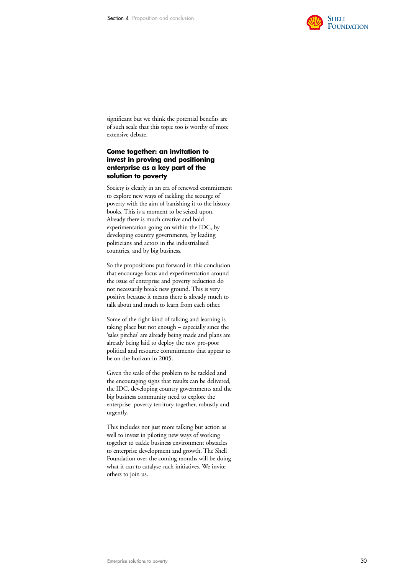

significant but we think the potential benefits are of such scale that this topic too is worthy of more extensive debate.

#### **Come together: an invitation to invest in proving and positioning enterprise as a key part of the solution to poverty**

Society is clearly in an era of renewed commitment to explore new ways of tackling the scourge of poverty with the aim of banishing it to the history books. This is a moment to be seized upon. Already there is much creative and bold experimentation going on within the IDC, by developing country governments, by leading politicians and actors in the industrialised countries, and by big business.

So the propositions put forward in this conclusion that encourage focus and experimentation around the issue of enterprise and poverty reduction do not necessarily break new ground. This is very positive because it means there is already much to talk about and much to learn from each other.

Some of the right kind of talking and learning is taking place but not enough – especially since the 'sales pitches' are already being made and plans are already being laid to deploy the new pro-poor political and resource commitments that appear to be on the horizon in 2005.

Given the scale of the problem to be tackled and the encouraging signs that results can be delivered, the IDC, developing country governments and the big business community need to explore the enterprise–poverty territory together, robustly and urgently.

This includes not just more talking but action as well to invest in piloting new ways of working together to tackle business environment obstacles to enterprise development and growth. The Shell Foundation over the coming months will be doing what it can to catalyse such initiatives. We invite others to join us.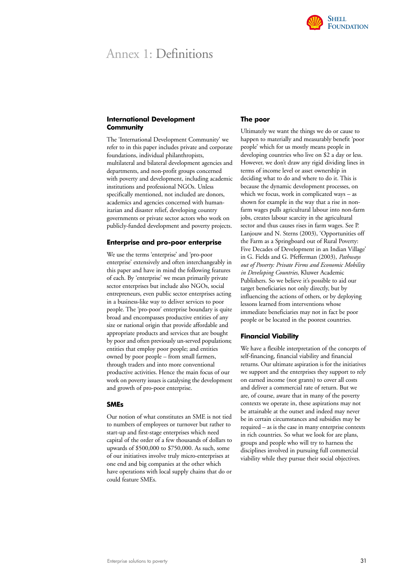

### Annex 1: Definitions

#### **International Development Community**

The 'International Development Community' we refer to in this paper includes private and corporate foundations, individual philanthropists, multilateral and bilateral development agencies and departments, and non-profit groups concerned with poverty and development, including academic institutions and professional NGOs. Unless specifically mentioned, not included are donors, academics and agencies concerned with humanitarian and disaster relief, developing country governments or private sector actors who work on publicly-funded development and poverty projects.

#### **Enterprise and pro-poor enterprise**

We use the terms 'enterprise' and 'pro-poor enterprise' extensively and often interchangeably in this paper and have in mind the following features of each. By 'enterprise' we mean primarily private sector enterprises but include also NGOs, social entrepreneurs, even public sector enterprises acting in a business-like way to deliver services to poor people. The 'pro-poor' enterprise boundary is quite broad and encompasses productive entities of any size or national origin that provide affordable and appropriate products and services that are bought by poor and often previously un-served populations; entities that employ poor people; and entities owned by poor people – from small farmers, through traders and into more conventional productive activities. Hence the main focus of our work on poverty issues is catalysing the development and growth of pro-poor enterprise.

#### **SMEs**

Our notion of what constitutes an SME is not tied to numbers of employees or turnover but rather to start-up and first-stage enterprises which need capital of the order of a few thousands of dollars to upwards of \$500,000 to \$750,000. As such, some of our initiatives involve truly micro-enterprises at one end and big companies at the other which have operations with local supply chains that do or could feature SMEs.

#### **The poor**

Ultimately we want the things we do or cause to happen to materially and measurably benefit 'poor people' which for us mostly means people in developing countries who live on \$2 a day or less. However, we don't draw any rigid dividing lines in terms of income level or asset ownership in deciding what to do and where to do it. This is because the dynamic development processes, on which we focus, work in complicated ways – as shown for example in the way that a rise in nonfarm wages pulls agricultural labour into non-farm jobs, creates labour scarcity in the agricultural sector and thus causes rises in farm wages. See P. Lanjouw and N. Sterns (2003), 'Opportunities off the Farm as a Springboard out of Rural Poverty: Five Decades of Development in an Indian Village' in G. Fields and G. Pfefferman (2003), *Pathways out of Poverty: Private Firms and Economic Mobility in Developing Countries*, Kluwer Academic Publishers. So we believe it's possible to aid our target beneficiaries not only directly, but by influencing the actions of others, or by deploying lessons learned from interventions whose immediate beneficiaries may not in fact be poor people or be located in the poorest countries.

#### **Financial Viability**

We have a flexible interpretation of the concepts of self-financing, financial viability and financial returns. Our ultimate aspiration is for the initiatives we support and the enterprises they support to rely on earned income (not grants) to cover all costs and deliver a commercial rate of return. But we are, of course, aware that in many of the poverty contexts we operate in, these aspirations may not be attainable at the outset and indeed may never be in certain circumstances and subsidies may be required – as is the case in many enterprise contexts in rich countries. So what we look for are plans, groups and people who will try to harness the disciplines involved in pursuing full commercial viability while they pursue their social objectives.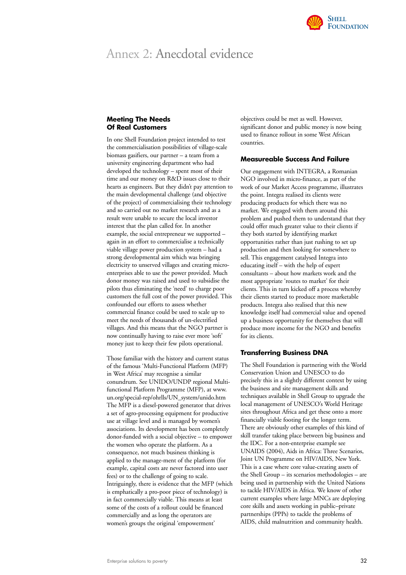

### Annex 2: Anecdotal evidence

#### **Meeting The Needs Of Real Customers**

In one Shell Foundation project intended to test the commercialisation possibilities of village-scale biomass gasifiers, our partner – a team from a university engineering department who had developed the technology – spent most of their time and our money on R&D issues close to their hearts as engineers. But they didn't pay attention to the main developmental challenge (and objective of the project) of commercialising their technology and so carried out no market research and as a result were unable to secure the local investor interest that the plan called for. In another example, the social entrepreneur we supported – again in an effort to commercialise a technically viable village power production system – had a strong developmental aim which was bringing electricity to unserved villages and creating microenterprises able to use the power provided. Much donor money was raised and used to subsidise the pilots thus eliminating the 'need' to charge poor customers the full cost of the power provided. This confounded our efforts to assess whether commercial finance could be used to scale up to meet the needs of thousands of un-electrified villages. And this means that the NGO partner is now continually having to raise ever more 'soft' money just to keep their few pilots operational.

Those familiar with the history and current status of the famous 'Multi-Functional Platform (MFP) in West Africa' may recognise a similar conundrum. See UNIDO/UNDP regional Multifunctional Platform Programme (MFP), at www. un.org/special-rep/ohrlls/UN\_system/unido.htm The MFP is a diesel-powered generator that drives a set of agro-processing equipment for productive use at village level and is managed by women's associations. Its development has been completely donor-funded with a social objective – to empower the women who operate the platform. As a consequence, not much business thinking is applied to the manage-ment of the platform (for example, capital costs are never factored into user fees) or to the challenge of going to scale. Intriguingly, there is evidence that the MFP (which is emphatically a pro-poor piece of technology) is in fact commercially viable. This means at least some of the costs of a rollout could be financed commercially and as long the operators are women's groups the original 'empowerment'

objectives could be met as well. However, significant donor and public money is now being used to finance rollout in some West African countries.

#### **Measureable Success And Failure**

Our engagement with INTEGRA, a Romanian NGO involved in micro-finance, as part of the work of our Market Access programme, illustrates the point. Integra realised its clients were producing products for which there was no market. We engaged with them around this problem and pushed them to understand that they could offer much greater value to their clients if they both started by identifying market opportunities rather than just rushing to set up production and then looking for somewhere to sell. This engagement catalysed Integra into educating itself – with the help of expert consultants – about how markets work and the most appropriate 'routes to market' for their clients. This in turn kicked off a process whereby their clients started to produce more marketable products. Integra also realised that this new knowledge itself had commercial value and opened up a business opportunity for themselves that will produce more income for the NGO and benefits for its clients.

#### **Transferring Business DNA**

The Shell Foundation is partnering with the World Conservation Union and UNESCO to do precisely this in a slightly different context by using the business and site management skills and techniques available in Shell Group to upgrade the local management of UNESCO's World Heritage sites throughout Africa and get these onto a more financially viable footing for the longer term. There are obviously other examples of this kind of skill transfer taking place between big business and the IDC. For a non-enterprise example see UNAIDS (2004), Aids in Africa: Three Scenarios, Joint UN Programme on HIV/AIDS, New York. This is a case where core value-creating assets of the Shell Group – its scenarios methodologies – are being used in partnership with the United Nations to tackle HIV/AIDS in Africa. We know of other current examples where large MNCs are deploying core skills and assets working in public–private partnerships (PPPs) to tackle the problems of AIDS, child malnutrition and community health.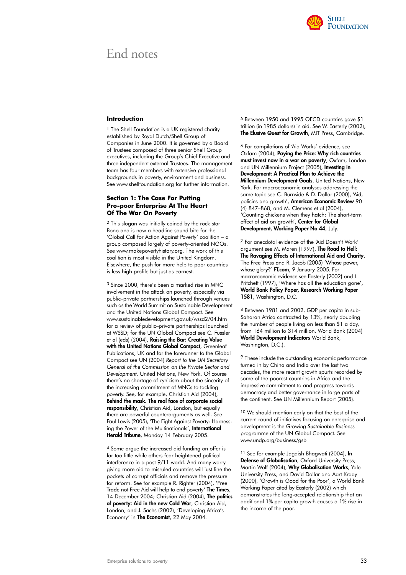

### End notes

#### **Introduction**

<sup>1</sup> The Shell Foundation is a UK registered charity established by Royal Dutch/Shell Group of Companies in June 2000. It is governed by a Board of Trustees composed of three senior Shell Group executives, including the Group's Chief Executive and three independent external Trustees. The management team has four members with extensive professional backgrounds in poverty, environment and business. See www.shellfoundation.org for further information.

#### **Section 1: The Case For Putting Pro-poor Enterprise At The Heart Of The War On Poverty**

2 This slogan was initially coined by the rock star Bono and is now a headline sound bite for the 'Global Call for Action Against Poverty' coalition – a group composed largely of poverty-oriented NGOs. See www.makepovertyhistory.org. The work of this coalition is most visible in the United Kingdom. Elsewhere, the push for more help to poor countries is less high profile but just as earnest.

3 Since 2000, there's been a marked rise in MNC involvement in the attack on poverty, especially via public–private partnerships launched through venues such as the World Summit on Sustainable Development and the United Nations Global Compact. See www.sustainabledevelopment.gov.uk/wssd2/04.htm for a review of public–private partnerships launched at WSSD; for the UN Global Compact see C. Fussler et al (eds) (2004), **Raising the Bar: Creating Value with the United Nations Global Compact**, Greenleaf Publications, UK and for the forerunner to the Global Compact see UN (2004) *Report to the UN Secretary General of the Commission on the Private Sector and Development.* United Nations, New York. Of course there's no shortage of cynicism about the sincerity of the increasing commitment of MNCs to tackling poverty. See, for example, Christian Aid (2004). **Behind the mask. The real face of corporate social responsibility**, Christian Aid, London, but equally there are powerful counterarguments as well. See Paul Lewis (2005), 'The Fight Against Poverty: Harnessing the Power of the Multinationals', **International Herald Tribune**, Monday 14 February 2005.

4 Some argue the increased aid funding on offer is far too little while others fear heightened political interference in a post 9/11 world. And many worry giving more aid to misruled countries will just line the pockets of corrupt officials and remove the pressure for reform. See for example R. Righter (2004), 'Free Trade not Free Aid will help to end poverty' **The Times**, 14 December 2004; Christian Aid (2004), **The politics of poverty: Aid in the new Cold War**, Christian Aid, London; and J. Sachs (2002), 'Developing Africa's Economy' in **The Economist**, 22 May 2004.

5 Between 1950 and 1995 OECD countries gave \$1 trillion (in 1985 dollars) in aid. See W. Easterly (2002), **The Elusive Quest for Growth**, MIT Press, Cambridge.

6 For compilations of 'Aid Works' evidence, see Oxfam (2004), **Paying the Price: Why rich countries must invest now in a war on poverty**, Oxfam, London and UN Millennium Project (2005), **Investing in Development: A Practical Plan to Achieve the Millennium Development Goals**, United Nations, New York. For macroeconomic analyses addressing the same topic see C. Burnside & D. Dollar (2000), 'Aid, policies and growth', **American Economic Review** 90 (4) 847–868, and M. Clemens et al (2004), 'Counting chickens when they hatch: The short-term effect of aid on growth', **Center for Global Development, Working Paper No 44**, July.

7 For anecdotal evidence of the 'Aid Doesn't Work' argument see M. Maren (1997), **The Road to Hell: The Ravaging Effects of International Aid and Charity**, The Free Press and R. Jacob (2005) 'Whose power, whose glory?' **FT.com**, 9 January 2005. For macroeconomic evidence see Easterly (2002) and L. Pritchett (1997), 'Where has all the education gone', **World Bank Policy Paper, Research Working Paper 1581**, Washington, D.C.

8 Between 1981 and 2002, GDP per capita in sub-Saharan Africa contracted by 13%, nearly doubling the number of people living on less than \$1 a day, from 164 million to 314 million. World Bank (2004) **World Development Indicators** World Bank, Washington, D.C.).

9 These include the outstanding economic performance turned in by China and India over the last two decades, the more recent growth spurts recorded by some of the poorest countries in Africa and the impressive commitment to and progress towards democracy and better governance in large parts of the continent. See UN Millennium Report (2005).

10 We should mention early on that the best of the current round of initiatives focusing on enterprise and development is the *Growing Sustainable Business* programme of the UN Global Compact. See www.undp.org/business/gsb

11 See for example Jagdish Bhagwati (2004), **In Defense of Globalisation**, Oxford University Press; Martin Wolf (2004), **Why Globalisation Works**, Yale University Press; and David Dollar and Aart Kraay (2000), 'Growth is Good for the Poor', a World Bank Working Paper cited by Easterly (2002) which demonstrates the long-accepted relationship that an additional 1% per capita growth causes a 1% rise in the income of the poor.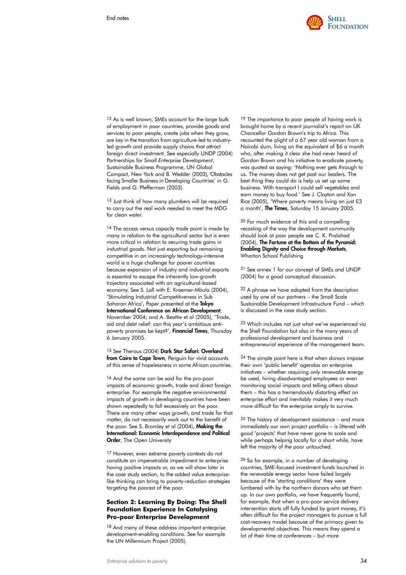

12 As is well known, SMEs account for the large bulk of employment in poor countries, provide goods and services to poor people, create jobs when they grow, are key in the transition from agriculture-led to industryled growth and provide supply chains that attract foreign direct investment. See especially UNDP (2004) Partnerships for *Small Enterprise Development*, Sustainable Business Programme, UN Global Compact, New York and B. Wedder (2003), 'Obstacles facing Smaller Business in Developing Countries' in G. Fields and G. Pfefferman (2003).

13 Just think of how many plumbers will be required to carry out the real work needed to meet the MDG for clean water.

<sup>14</sup> The access versus capacity trade point is made by many in relation to the agricultural sector but is even more critical in relation to securing trade gains in industrial goods. Not just exporting but remaining competitive in an increasingly technology-intensive world is a huge challenge for poorer countries because expansion of industry and industrial exports is essential to escape the inherently low-growth trajectory associated with an agricultural-based economy. See S. Lall with E. Kraemer-Mbula (2004), 'Stimulating Industrial Competitiveness in Sub Saharan Africa', Paper presented at the **Tokyo International Conference on African Development**, November 2004; and A. Beattie et al (2005), 'Trade, aid and debt relief: can this year's ambitious antipoverty promises be kept?', **Financial Times**, Thursday 6 January 2005.

15 See Theroux (2004) **Dark Star Safari: Overland** from Cairo to Cape Town, Penguin for vivid accounts of this sense of hopelessness in some African countries.

<sup>16</sup> And the same can be said for the pro-poor impacts of economic growth, trade and direct foreign enterprise. For example the negative environmental impacts of growth in developing countries have been shown repeatedly to fall excessively on the poor. There are many other ways growth, and trade for that matter, do not necessarily work out to the benefit of the poor. See S. Bromley et al (2004), **Making the International: Economic Interdependence and Political Order**, The Open University

17 However, even extreme poverty contexts do not constitute an impenetrable impediment to enterprise having positive impacts or, as we will show later in the case study section, to the added value enterpriselike thinking can bring to poverty-reduction strategies targeting the poorest of the poor.

#### **Section 2: Learning By Doing: The Shell Foundation Experience In Catalysing Pro-poor Enterprise Development**

18 And many of these address important enterprise development-enabling conditions. See for example the UN Millennium Project (2005).

<sup>19</sup> The importance to poor people of having work is brought home by a recent journalist's report on UK Chancellor Gordon Brown's trip to Africa. This recounted the plight of a 67 year old woman from a Nairobi slum, living on the equivalent of \$6 a month who, after making it clear she had never heard of Gordon Brown and his initiative to eradicate poverty, was quoted as saying: 'Nothing ever gets through to us. The money does not get past our leaders. The best thing they could do is help us set up some business. With transport I could sell vegetables and earn money to buy food.' See J. Clayton and Xan Rice (2005), 'Where poverty means living on just £3 a month', **The Times**, Saturday 15 January 2005.

20 For much evidence of this and a compelling recasting of the way the development community should look at poor people see C. K. Pralahad (2004), **The Fortune at the Bottom of the Pyramid: Enabling Dignity and Choice through Markets**, Wharton School Publishing

21 See annex 1 for our concept of SMEs and UNDP (2004) for a good conceptual discussion.

22 A phrase we have adopted from the description used by one of our partners – the Small Scale Sustainable Development Infrastructure Fund – which is discussed in the case study section.

23 Which includes not just what we've experienced via the Shell Foundation but also in the many years of professional development and business and entrepreneurial experience of the management team.

24 The simple point here is that when donors impose their own 'public benefit' agendas on enterprise initiatives – whether requiring only renewable energy be used, hiring disadvantaged employees or even monitoring social impacts and telling others about them – this has a tremendously distorting effect on enterprise effort and inevitably makes it very much more difficult for the enterprise simply to survive.

25 The history of development assistance – and more immediately our own project portfolio – is littered with good 'projects' that have never gone to scale and while perhaps helping locally for a short while, have left the majority of the poor untouched.

26 So for example, in a number of developing countries, SME-focused investment funds launched in the renewable energy sector have failed largely because of the 'starting conditions' they were lumbered with by the northern donors who set them up. In our own portfolio, we have frequently found, for example, that when a pro-poor service delivery intervention starts off fully funded by grant money, it's often difficult for the project managers to pursue a full cost-recovery model because of the primacy given to developmental objectives. This means they spend a lot of their time at conferences – but more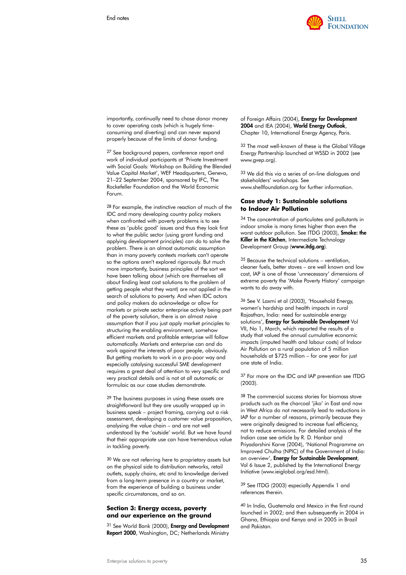

importantly, continually need to chase donor money to cover operating costs (which is hugely timeconsuming and diverting) and can never expand properly because of the limits of donor funding.

27 See background papers, conference report and work of individual participants at 'Private Investment with Social Goals: Workshop on Building the Blended Value Capital Market', WEF Headquarters, Geneva, 21–22 September 2004, sponsored by IFC, The Rockefeller Foundation and the World Economic Forum.

28 For example, the instinctive reaction of much of the IDC and many developing country policy makers when confronted with poverty problems is to see these as 'public good' issues and thus they look first to what the public sector (using grant funding and applying development principles) can do to solve the problem. There is an almost automatic assumption than in many poverty contexts markets can't operate so the options aren't explored rigorously. But much more importantly, business principles of the sort we have been talking about (which are themselves all about finding least cost solutions to the problem of getting people what they want) are not applied in the search of solutions to poverty. And when IDC actors and policy makers do acknowledge or allow for markets or private sector enterprise activity being part of the poverty solution, there is an almost naive assumption that if you just apply market principles to structuring the enabling environment, somehow efficient markets and profitable enterprise will follow automatically. Markets and enterprise can and do work against the interests of poor people, obviously. But getting markets to work in a pro-poor way and especially catalysing successful SME development requires a great deal of attention to very specific and very practical details and is not at all automatic or formulaic as our case studies demonstrate.

29 The business purposes in using these assets are straightforward but they are usually wrapped up in business speak – project framing, carrying out a risk assessment, developing a customer value proposition, analysing the value chain – and are not well understood by the 'outside' world. But we have found that their appropriate use can have tremendous value in tackling poverty.

30 We are not referring here to proprietary assets but on the physical side to distribution networks, retail outlets, supply chains, etc and to knowledge derived from a long-term presence in a country or market, from the experience of building a business under specific circumstances, and so on.

#### **Section 3: Energy access, poverty and our experience on the ground**

31 See World Bank (2000), **Energy and Development Report 2000**, Washington, DC; Netherlands Ministry

of Foreign Affairs (2004), **Energy for Development 2004** and IEA (2004), **World Energy Outlook**, Chapter 10, International Energy Agency, Paris.

32 The most well-known of these is the Global Village Energy Partnership launched at WSSD in 2002 (see www.gvep.org).

33 We did this via a series of on-line dialogues and stakeholders' workshops. See www.shellfoundation.org for further information.

#### **Case study 1: Sustainable solutions to Indoor Air Pollution**

34 The concentration of particulates and pollutants in indoor smoke is many times higher than even the worst outdoor pollution. See ITDG (2003), **Smoke: the Killer in the Kitchen**, Intermediate Technology Development Group (**www.itdg.org**).

35 Because the technical solutions – ventilation, cleaner fuels, better stoves – are well known and low cost, IAP is one of those 'unnecessary' dimensions of extreme poverty the 'Make Poverty History' campaign wants to do away with.

36 See V. Laxmi et al (2003), 'Household Energy, women's hardship and health impacts in rural Rajasthan, India: need for sustainable energy solutions', **Energy for Sustainable Development** Vol VII, No 1, March, which reported the results of a study that valued the annual cumulative economic impacts (imputed health and labour costs) of Indoor Air Pollution on a rural population of 5 million households at \$725 million – for one year for just one state of India.

37 For more on the IDC and IAP prevention see ITDG (2003).

38 The commercial success stories for biomass stove products such as the charcoal 'jiko' in East and now in West Africa do not necessarily lead to reductions in IAP for a number of reasons, primarily because they were originally designed to increase fuel efficiency, not to reduce emissions. For detailed analysis of the Indian case see article by R. D. Hanbar and Priyadarshini Karve (2004), 'National Programme on Improved Chulha (NPIC) of the Government of India: an overview', **Energy for Sustainable Development**, Vol 6 Issue 2, published by the International Energy Initiative (www.ieiglobal.org/esd.html).

39 See ITDG (2003) especially Appendix 1 and references therein.

40 In India, Guatemala and Mexico in the first round launched in 2002; and then subsequently in 2004 in Ghana, Ethiopia and Kenya and in 2005 in Brazil and Pakistan.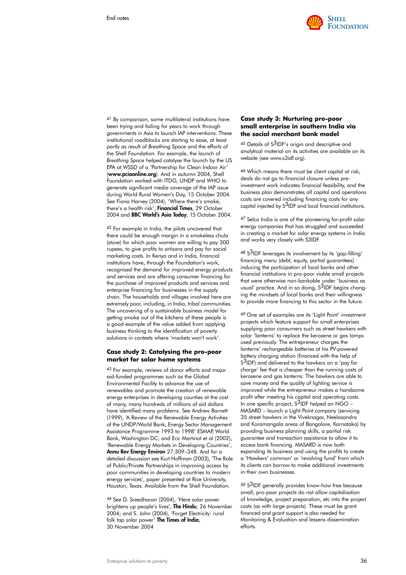

41 By comparison, some multilateral institutions have been trying and failing for years to work through governments in Asia to launch IAP interventions. These institutional roadblocks are starting to ease, at least partly as result of *Breathing Space* and the efforts of the Shell Foundation. For example, the launch of *Breathing Space* helped catalyse the launch by the US EPA at WSSD of a 'Partnership for Clean Indoor Air' (**www.pciaonline.org**). And in autumn 2004, Shell Foundation worked with ITDG, UNDP and WHO to generate significant media coverage of the IAP issue during World Rural Women's Day, 15 October 2004. See Fiona Harvey (2004), 'Where there's smoke, there's a health risk', **Financial Times**, 29 October 2004 and **BBC World's Asia Today**, 15 October 2004.

42 For example in India, the pilots uncovered that there could be enough margin in a smokeless chula (stove) for which poor women are willing to pay 300 rupees, to give profits to artisans and pay for social marketing costs. In Kenya and in India, financial institutions have, through the Foundation's work, recognised the demand for improved energy products and services and are offering consumer financing for the purchase of improved products and services and enterprise financing for businesses in the supply chain. The households and villages involved here are extremely poor, including, in India, tribal communities. The uncovering of a sustainable business model for getting smoke out of the kitchens of these people is a good example of the value added from applying business thinking to the identification of poverty solutions in contexts where 'markets won't work'.

#### **Case study 2: Catalysing the pro-poor market for solar home systems**

43 For example, reviews of donor efforts and major aid-funded programmes such as the Global Environmental Facility to advance the use of renewables and promote the creation of renewable energy enterprises in developing counties at the cost of many, many hundreds of millions of aid dollars have identified many problems. See Andrew Barnett (1999), 'A Review of the Renewable Energy Activities of the UNDP/World Bank, Energy Sector Management Assistance Programme 1993 to 1998' ESMAP, World Bank, Washington DC; and Eric Martinot et al (2002), 'Renewable Energy Markets in Developing Countries', **Annu Rev Energy Environ** 27:309–348. And for a detailed discussion see Kurt Hoffman (2003), 'The Role of Public/Private Partnerships in improving access by poor communities in developing countries to modern energy services', paper presented at Rice University, Houston, Texas. Available from the Shell Foundation.

44 See D. Sreedharan (2004), 'Here solar power brightens up people's lives', **The Hindu**, 26 November 2004; and S. John (2004), 'Forget Electricity: rural folk tap solar power' **The Times of India**, 30 November 2004

#### **Case study 3: Nurturing pro-poor small enterprise in southern India via the social merchant bank model**

45 Details of S<sup>3</sup>IDF's origin and descriptive and analytical material on its activities are available on its website (see www.s3idf.org).

46 Which means there must be client capital at risk; deals do not go to financial closure unless preinvestment work indicates financial feasibility, and the business plan demonstrates all capital and operations costs are covered including financing costs for any capital injected by S<sup>3</sup>IDF and local financial institutions.

47 Selco India is one of the pioneering for-profit solar energy companies that has struggled and succeeded in creating a market for solar energy systems in India and works very closely with S3IDF.

 $48$  S<sup>3</sup>IDF leverages its involvement by its 'gap-filling' financing menu (debt, equity, partial guarantees) inducing the participation of local banks and other financial institutions in pro-poor viable small projects that were otherwise non-bankable under 'business as usual' practice. And in so doing, S<sup>3</sup>IDF begins changing the mindsets of local banks and their willingness to provide more financing to this sector in the future.

49 One set of examples are its 'Light Point' investment projects which feature support for small enterprises supplying poor consumers such as street hawkers with solar 'lanterns' to replace the kerosene or gas lamps used previously. The entrepreneur charges the lanterns' rechargeable batteries at his PV-powered battery charging station (financed with the help of S<sup>3</sup>IDF) and delivered to the hawkers on a 'pay for charge' fee that is cheaper than the running costs of kerosene and gas lanterns. The hawkers are able to save money and the quality of lighting service is improved while the entrepreneur makes a handsome profit after meeting his capital and operating costs. In one specific project,  $S^3$ IDF helped an NGO -MASARD – launch a Light Point company (servicing 35 street hawkers in the Viveknagar, Neelasandra and Koramangala areas of Bangalore, Karnataka) by providing business planning skills, a partial risk guarantee and transaction assistance to allow it to access bank financing. MASARD is now both expanding its business and using the profits to create a 'Hawkers' common' or 'revolving fund' from which its clients can borrow to make additional investments in their own businesses.

50 S<sup>3</sup>IDF generally provides know-how free because small, pro-poor projects do not allow capitalisation of knowledge, project preparation, etc into the project costs (as with large projects). These must be grant financed and grant support is also needed for Monitoring & Evaluation and lessens dissemination efforts.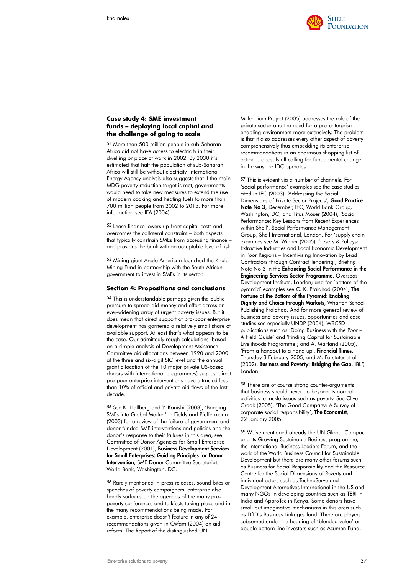

#### **Case study 4: SME investment funds – deploying local capital and the challenge of going to scale**

51 More than 500 million people in sub-Saharan Africa did not have access to electricity in their dwelling or place of work in 2002. By 2030 it's estimated that half the population of sub-Saharan Africa will still be without electricity. International Energy Agency analysis also suggests that if the main MDG poverty-reduction target is met, governments would need to take new measures to extend the use of modern cooking and heating fuels to more than 700 million people from 2002 to 2015. For more information see IEA (2004).

52 Lease finance lowers up-front capital costs and overcomes the collateral constraint – both aspects that typically constrain SMEs from accessing finance – and provides the bank with an acceptable level of risk.

53 Mining giant Anglo American launched the Khula Mining Fund in partnership with the South African government to invest in SMEs in its sector.

#### **Section 4: Propositions and conclusions**

54 This is understandable perhaps given the public pressure to spread aid money and effort across an ever-widening array of urgent poverty issues. But it does mean that direct support of pro-poor enterprise development has garnered a relatively small share of available support. At least that's what appears to be the case. Our admittedly rough calculations (based on a simple analysis of Development Assistance Committee aid allocations between 1990 and 2000 at the three and six-digit SIC level and the annual grant allocation of the 10 major private US-based donors with international programmes) suggest direct pro-poor enterprise interventions have attracted less than 10% of official and private aid flows of the last decade.

55 See K. Hallberg and Y. Konishi (2003), 'Bringing SMEs into Global Market' in Fields and Pfeffermann (2003) for a review of the failure of government and donor-funded SME interventions and policies and the donor's response to their failures in this area, see Committee of Donor Agencies for Small Enterprise Development (2001), **Business Development Services for Small Enterprises: Guiding Principles for Donor Intervention**, SME Donor Committee Secretariat, World Bank, Washington, DC.

56 Rarely mentioned in press releases, sound bites or speeches of poverty campaigners, enterprise also hardly surfaces on the agendas of the many propoverty conferences and talkfests taking place and in the many recommendations being made. For example, enterprise doesn't feature in any of 24 recommendations given in Oxfam (2004) on aid reform. The Report of the distinguished UN

Millennium Project (2005) addresses the role of the private sector and the need for a pro-enterpriseenabling environment more extensively. The problem is that it also addresses every other aspect of poverty comprehensively thus embedding its enterprise recommendations in an enormous shopping list of action proposals all calling for fundamental change in the way the IDC operates.

57 This is evident via a number of channels. For 'social performance' examples see the case studies cited in IFC (2003), 'Addressing the Social Dimensions of Private Sector Projects', **Good Practice Note No 3**, December, IFC, World Bank Group, Washington, DC; and Titus Moser (2004), 'Social Performance: Key Lessons from Recent Experiences within Shell', Social Performance Management Group, Shell International, London. For 'supply chain' examples see M. Winner (2005), 'Levers & Pulleys: Extractive Industries and Local Economic Development in Poor Regions – Incentivising Innovation by Lead Contractors through Contract Tendering', Briefing Note No 3 in the **Enhancing Social Performance in the Engineering Services Sector Programme**, Overseas Development Institute, London; and for 'bottom of the pyramid' examples see C. K. Pralahad (2004), **The Fortune at the Bottom of the Pyramid: Enabling Dignity and Choice through Markets**, Wharton School Publishing Pralahad. And for more general review of business and poverty issues, opportunities and case studies see especially UNDP (2004); WBCSD publications such as 'Doing Business with the Poor – A Field Guide' and 'Finding Capital for Sustainable Livelihoods Programme'; and A. Maitland (2005), 'From a handout to a hand up', **Financial Times**, Thursday 3 February 2005; and M. Forstater et al (2002), **Business and Poverty: Bridging the Gap**, IBLF, London.

58 There are of course strong counter-arguments that business should never go beyond its normal activities to tackle issues such as poverty. See Clive Crook (2005), 'The Good Company: A Survey of corporate social responsibility', **The Economist**, 22 January 2005.

59 We've mentioned already the UN Global Compact and its Growing Sustainable Business programme, the International Business Leaders Forum, and the work of the World Business Council for Sustainable Development but there are many other forums such as Business for Social Responsibility and the Resource Centre for the Social Dimensions of Poverty and individual actors such as TechnoServe and Development Alternatives International in the US and many NGOs in developing countries such as TERI in India and ApproTec in Kenya. Some donors have small but imaginative mechanisms in this area such as DfID's Business Linkages fund. There are players subsumed under the heading of 'blended value' or double bottom line investors such as Acumen Fund,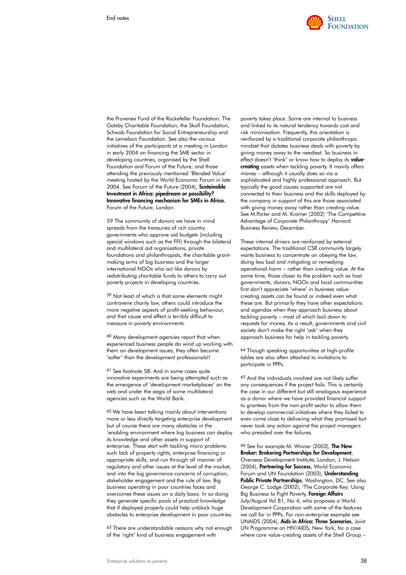

the Provenex Fund of the Rockefeller Foundation. The Gatsby Charitable Foundation, the Skoll Foundation, Schwab Foundation for Social Entrepreneurship and the Lemelson Foundation. See also the various initiatives of the participants at a meeting in London in early 2004 on financing the SME sector in developing countries, organised by the Shell Foundation and Forum of the Future; and those attending the previously mentioned 'Blended Value' meeting hosted by the World Economic Forum in late 2004. See Forum of the Future (2004), **Sustainable Investment in Africa: pipedream or possibility? Innovative financing mechanism for SMEs in Africa**, Forum of the Future, London.

59 The community of donors we have in mind spreads from the treasuries of rich country governments who approve aid budgets (including special windows such as the FFI) through the bilateral and multilateral aid organisations, private foundations and philanthropists, the charitable grantmaking arms of big business and the larger international NGOs who act like donors by redistributing charitable funds to others to carry out poverty projects in developing countries.

59 Not least of which is that some elements might contravene charity law, others could introduce the more negative aspects of profit-seeking behaviour, and that cause and effect is terribly difficult to measure in poverty environments.

60 Many development agencies report that when experienced business people do wind up working with them on development issues, they often become 'softer' than the development professionals!!

61 See footnote 58. And in some cases quite innovative experiments are being attempted such as the emergence of 'development marketplaces' on the web and under the aegis of some multilateral agencies such as the World Bank.

62 We have been talking mainly about interventions more or less directly targeting enterprise development but of course there are many obstacles in the 'enabling environment where big business can deploy its knowledge and other assets in support of enterprise. These start with tackling micro problems such lack of property rights, enterprise financing or appropriate skills, and run through all manner of regulatory and other issues at the level of the market, and into the big governance concerns of corruption, stakeholder engagement and the rule of law. Big business operating in poor countries faces and overcomes these issues on a daily basis. In so doing they generate specific pools of practical knowledge that if deployed properly could help unblock huge obstacles to enterprise development in poor countries.

63 There are understandable reasons why not enough of the 'right' kind of business engagement with

poverty takes place. Some are internal to business and linked to its natural tendency towards cost and risk minimisation. Frequently, this orientation is reinforced by a traditional corporate philanthropic mindset that dictates business deals with poverty by giving money away to the neediest. So business in effect doesn't 'think' or know how to deploy its **valuecreating** assets when tackling poverty. It mainly offers money – although it usually does so via a sophisticated and highly professional approach. But typically the good causes supported are not connected to their business and the skills deployed by the company in support of this are those associated with giving money away rather than creating value. See M.Porter and M. Kramer (2002) 'The Competitive Advantage of Corporate Philanthropy' Harvard Business Review, December.

These internal drivers are reinforced by external expectations. The traditional CSR community largely wants business to concentrate on obeying the law, doing less bad and mitigating or remedying operational harm – rather than creating value. At the same time, those closer to the problem such as host governments, donors, NGOs and local communities first don't appreciate 'where' in business valuecreating assets can be found or indeed even what these are. But primarily they have other expectations and agendas when they approach business about tackling poverty – most of which boil down to requests for money. As a result, governments and civil society don't make the right 'ask' when they approach business for help in tackling poverty.

64 Though speaking opportunities at high-profile tables are also often attached to invitations to participate in PPPs.

65 And the individuals involved are not likely suffer any consequences if the project fails. This is certainly the case in our different but still analogous experience as a donor where we have provided financial support to grantees from the non-profit sector to allow them to develop commercial initiatives where they failed to even come close to delivering what they promised but never took any action against the project managers who presided over the failures.

66 See for example M. Winner (2003), **The New Broker: Brokering Partnerships for Development**, Overseas Development Institute, London; J. Nelson (2004), **Partnering for Success**, World Economic Forum and UN Foundation (2003), **Understanding Public Private Partnerships**, Washington, DC. See also George C. Lodge (2002), 'The Corporate Key: Using Big Business to Fight Poverty, **Foreign Affairs** July/August Vol 81, No 4, who proposes a World Development Corporation with some of the features we call for in PPPs. For non-enterprise example see UNAIDS (2004), **Aids in Africa: Three Scenarios**, Joint UN Programme on HIV/AIDS, New York, for a case where core value-creating assets of the Shell Group –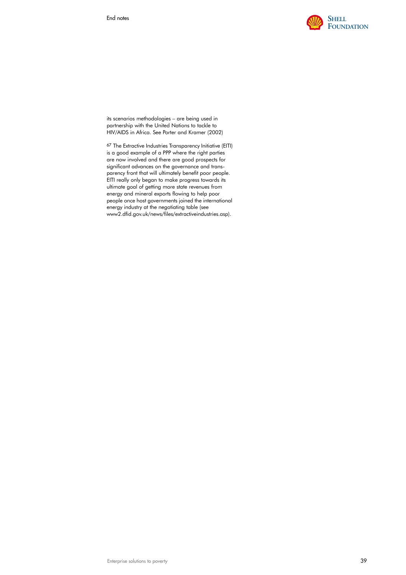

its scenarios methodologies – are being used in partnership with the United Nations to tackle to HIV/AIDS in Africa. See Porter and Kramer (2002)

67 The Extractive Industries Transparency Initiative (EITI) is a good example of a PPP where the right parties are now involved and there are good prospects for significant advances on the governance and transparency front that will ultimately benefit poor people. EITI really only began to make progress towards its ultimate goal of getting more state revenues from energy and mineral exports flowing to help poor people once host governments joined the international energy industry at the negotiating table (see www2.dfid.gov.uk/news/files/extractiveindustries.asp).